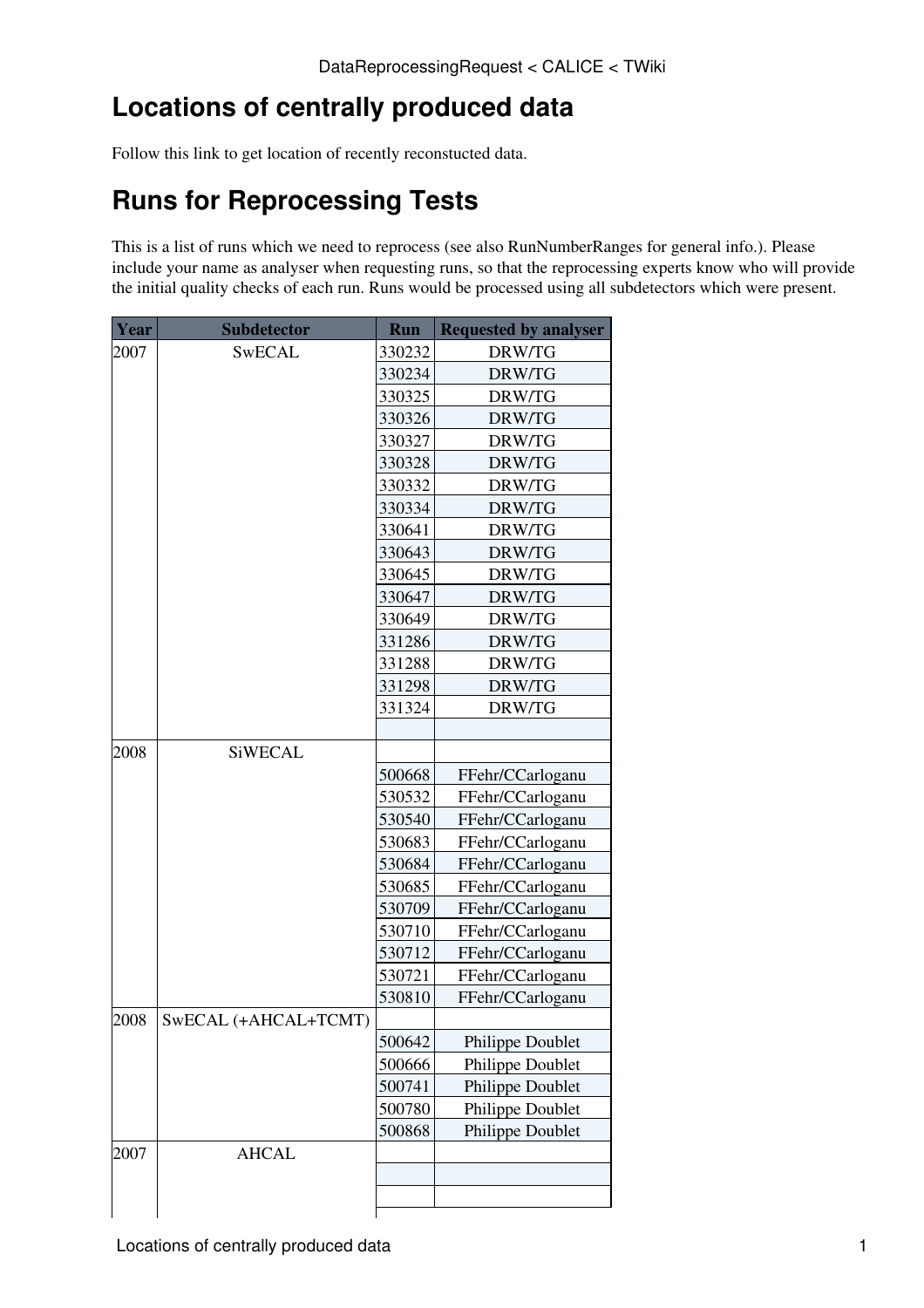# **Locations of centrally produced data**

Follow [this link](https://twiki.cern.ch/twiki/bin/view/CALICE/CentrallyProducedRuns) to get location of recently reconstucted data.

## **Runs for Reprocessing Tests**

This is a list of runs which we need to reprocess (see also [RunNumberRanges](https://twiki.cern.ch/twiki/bin/view/CALICE/RunNumberRanges) for general info.). Please include your name as analyser when requesting runs, so that the reprocessing experts know who will provide the initial quality checks of each run. Runs would be processed using all subdetectors which were present.

| Year | <b>Subdetector</b>   | <b>Run</b> | <b>Requested by analyser</b> |
|------|----------------------|------------|------------------------------|
| 2007 | <b>SwECAL</b>        | 330232     | DRW/TG                       |
|      |                      | 330234     | DRW/TG                       |
|      |                      | 330325     | DRW/TG                       |
|      |                      | 330326     | DRW/TG                       |
|      |                      | 330327     | DRW/TG                       |
|      |                      | 330328     | DRW/TG                       |
|      |                      | 330332     | DRW/TG                       |
|      |                      | 330334     | DRW/TG                       |
|      |                      | 330641     | DRW/TG                       |
|      |                      | 330643     | DRW/TG                       |
|      |                      | 330645     | DRW/TG                       |
|      |                      | 330647     | DRW/TG                       |
|      |                      | 330649     | DRW/TG                       |
|      |                      | 331286     | DRW/TG                       |
|      |                      | 331288     | DRW/TG                       |
|      |                      | 331298     | DRW/TG                       |
|      |                      | 331324     | DRW/TG                       |
|      |                      |            |                              |
| 2008 | <b>SiWECAL</b>       |            |                              |
|      |                      | 500668     | FFehr/CCarloganu             |
|      |                      | 530532     | FFehr/CCarloganu             |
|      |                      | 530540     | FFehr/CCarloganu             |
|      |                      | 530683     | FFehr/CCarloganu             |
|      |                      | 530684     | FFehr/CCarloganu             |
|      |                      | 530685     | FFehr/CCarloganu             |
|      |                      | 530709     | FFehr/CCarloganu             |
|      |                      | 530710     | FFehr/CCarloganu             |
|      |                      | 530712     | FFehr/CCarloganu             |
|      |                      | 530721     | FFehr/CCarloganu             |
|      |                      | 530810     | FFehr/CCarloganu             |
| 2008 | SwECAL (+AHCAL+TCMT) |            |                              |
|      |                      | 500642     | Philippe Doublet             |
|      |                      | 500666     | Philippe Doublet             |
|      |                      | 500741     | Philippe Doublet             |
|      |                      | 500780     | Philippe Doublet             |
|      |                      | 500868     | Philippe Doublet             |
| 2007 | <b>AHCAL</b>         |            |                              |
|      |                      |            |                              |
|      |                      |            |                              |
|      |                      |            |                              |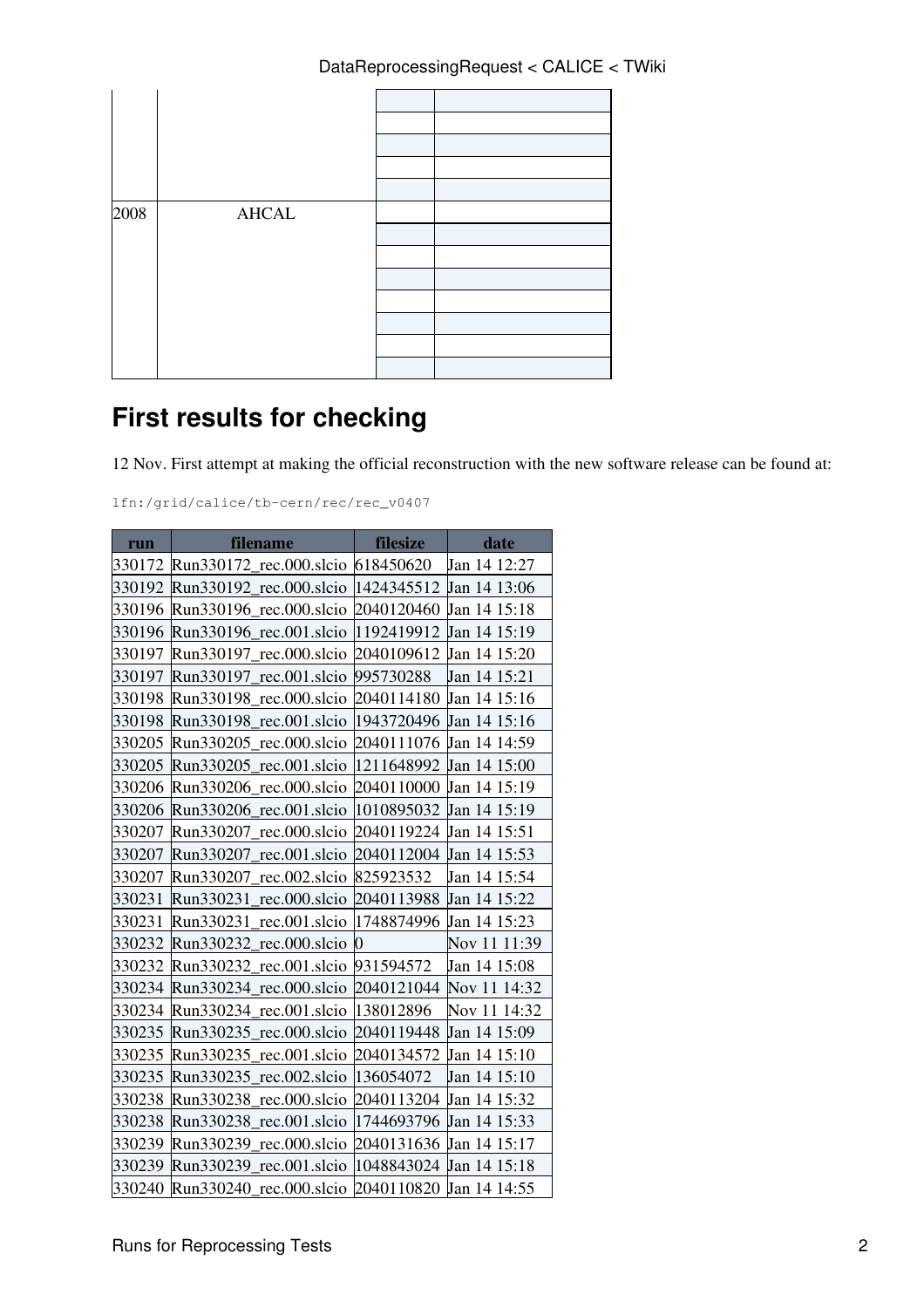| 2008 | <b>AHCAL</b> |  |
|------|--------------|--|
|      |              |  |

## **First results for checking**

12 Nov. First attempt at making the official reconstruction with the new software release can be found at:

lfn:/grid/calice/tb-cern/rec/rec\_v0407

| run    | filename                          | filesize       | date         |
|--------|-----------------------------------|----------------|--------------|
| 330172 | Run330172_rec.000.slcio 618450620 |                | Jan 14 12:27 |
| 330192 | Run330192 rec.000.slcio           | 1424345512     | Jan 14 13:06 |
| 330196 | Run330196 rec.000.slcio           | 2040120460     | Jan 14 15:18 |
| 330196 | Run330196_rec.001.slcio           | 1192419912     | Jan 14 15:19 |
| 330197 | rec.000.slcio<br>Run330197        | 2040109612     | Jan 14 15:20 |
| 330197 | Run330197 rec.001.slcio           | 995730288      | Jan 14 15:21 |
| 330198 | Run330198_rec.000.slcio           | 2040114180     | Jan 14 15:16 |
| 330198 | Run330198 rec.001.slcio           | 1943720496     | Jan 14 15:16 |
| 330205 | Run330205<br>rec.000.slcio        | 2040111076     | Jan 14 14:59 |
| 330205 | Run330205 rec.001.slcio           | 1211648992     | Jan 14 15:00 |
| 330206 | Run330206 rec.000.slcio           | 2040110000     | Jan 14 15:19 |
| 330206 | Run330206 rec.001.slcio           | 1010895032     | Jan 14 15:19 |
| 330207 | rec.000.slcio<br>Run330207        | 2040119224     | Jan 14 15:51 |
| 330207 | rec.001.slcio<br>Run330207        | 2040112004     | Jan 14 15:53 |
| 330207 | Run330207 rec.002.slcio           | 825923532      | Jan 14 15:54 |
| 330231 | rec.000.slcio<br>Run330231        | 2040113988     | Jan 14 15:22 |
| 330231 | rec.001.slcio<br>Run330231        | 1748874996     | Jan 14 15:23 |
| 330232 | Run330232<br>rec.000.slcio        | $\overline{0}$ | Nov 11 11:39 |
| 330232 | Run330232<br>rec.001.slcio        | 931594572      | Jan 14 15:08 |
| 330234 | rec.000.slcio<br>Run330234        | 2040121044     | Nov 11 14:32 |
| 330234 | Run330234<br>rec.001.slcio        | 138012896      | Nov 11 14:32 |
| 330235 | Run330235<br>rec.000.slcio        | 2040119448     | Jan 14 15:09 |
| 330235 | Run330235<br>rec.001.slcio        | 2040134572     | Jan 14 15:10 |
| 330235 | Run330235<br>rec.002.slcio        | 136054072      | Jan 14 15:10 |
| 330238 | rec.000.slcio<br>Run330238        | 2040113204     | Jan 14 15:32 |
| 330238 | Run330238<br>rec.001.slcio        | 1744693796     | Jan 14 15:33 |
| 330239 | Run330239<br>rec.000.slcio        | 2040131636     | Jan 14 15:17 |
| 330239 | Run330239<br>rec.001.slcio        | 1048843024     | Jan 14 15:18 |
| 330240 | Run330240<br>rec.000.slcio        | 2040110820     | Jan 14 14:55 |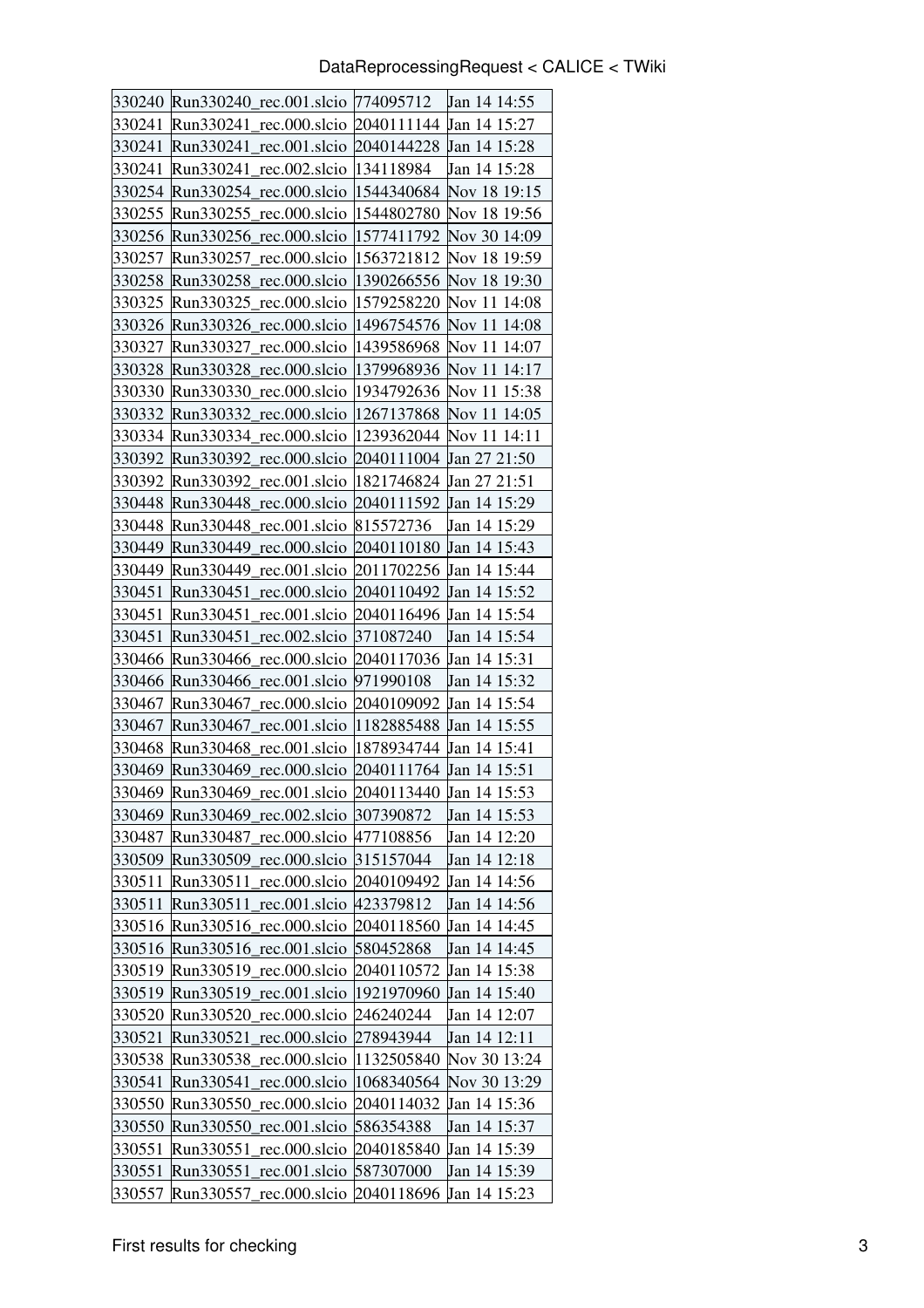| 330240 | Run330240_rec.001.slcio 774095712                  |                         | Jan 14 14:55            |
|--------|----------------------------------------------------|-------------------------|-------------------------|
| 330241 | Run330241<br>rec.000.slcio                         | 2040111144              | Jan 14 15:27            |
| 330241 | rec.001.slcio 2040144228 Jan 14 15:28<br>Run330241 |                         |                         |
| 330241 | Run330241<br>rec.002.slcio                         | 134118984               | Jan 14 15:28            |
| 330254 | Run330254 rec.000.slcio                            | 1544340684              | Nov 18 19:15            |
| 330255 | Run330255 rec.000.slcio                            | 1544802780              | Nov 18 19:56            |
| 330256 | Run330256 rec.000.slcio                            | 1577411792              | Nov 30 14:09            |
| 330257 | Run330257<br>rec.000.slcio                         | 1563721812              | Nov 18 19:59            |
| 330258 | Run330258 rec.000.slcio                            |                         | 1390266556 Nov 18 19:30 |
| 330325 | Run330325 rec.000.slcio                            | 1579258220              | Nov 11 14:08            |
| 330326 | Run $330326$ rec.000.slcio                         |                         | 1496754576 Nov 11 14:08 |
| 330327 | Run330327_rec.000.slcio                            | 1439586968              | Nov 11 14:07            |
| 330328 | Run330328 rec.000.slcio                            | 1379968936              | Nov 11 14:17            |
| 330330 | Run330330 rec.000.slcio                            | 1934792636              | Nov 11 15:38            |
| 330332 | Run330332 rec.000.slcio                            | 1267137868              | Nov 11 14:05            |
| 330334 | Run330334 rec.000.slcio   1239362044               |                         | Nov 11 14:11            |
| 330392 | Run330392_rec.000.slcio 2040111004 Jan 27 21:50    |                         |                         |
| 330392 | rec.001.slcio  1821746824<br>Run330392             |                         | Jan 27 21:51            |
| 330448 | Run330448 rec.000.slcio                            | 2040111592 Jan 14 15:29 |                         |
| 330448 | Run330448 rec.001.slcio                            | 815572736               | Jan 14 15:29            |
| 330449 | Run330449 rec.000.slcio 2040110180                 |                         | <b>Jan 14 15:43</b>     |
| 330449 | Run330449_rec.001.slcio 2011702256                 |                         | Jan 14 15:44            |
| 330451 | Run330451<br>rec.000.slcio                         | 2040110492              | Jan 14 15:52            |
| 330451 | rec.001.slcio 2040116496<br>Run330451              |                         | Jan 14 15:54            |
| 330451 | Run330451<br>rec.002.slcio                         | 371087240               | Jan 14 15:54            |
| 330466 | Run330466 rec.000.slcio 2040117036                 |                         | Jan 14 15:31            |
| 330466 | Run330466_rec.001.slcio 971990108                  |                         | Jan 14 15:32            |
| 330467 | Run330467<br>rec.000.slcio                         | 2040109092              | Jan 14 15:54            |
| 330467 | Run330467 rec.001.slcio                            | 1182885488              | Jan 14 15:55            |
| 330468 | Run330468 rec.001.slcio                            | 1878934744              | Jan 14 15:41            |
| 330469 | Run330469 rec.000.slcio 2040111764 Jan 14 15:51    |                         |                         |
|        | 330469 Run330469<br>rec.001.slcio 2040113440       |                         | Jan 14 15:53            |
| 330469 | rec.002.slcio<br>Run330469                         | 307390872               | Jan 14 15:53            |
| 330487 | Run330487<br>rec.000.slcio                         | 477108856               | Jan 14 12:20            |
| 330509 | Run330509<br>rec.000.slcio                         | 315157044               | Jan 14 12:18            |
| 330511 | Run330511<br>rec.000.slcio                         | 2040109492              | Jan 14 14:56            |
| 330511 | rec.001.slcio<br>Run330511                         | 423379812               | Jan 14 14:56            |
| 330516 | rec.000.slcio<br>Run330516                         | 2040118560              | Jan 14 14:45            |
| 330516 | rec.001.slcio<br>Run330516                         | 580452868               | Jan 14 14:45            |
| 330519 | rec.000.slcio<br>Run330519                         | 2040110572              | Jan 14 15:38            |
| 330519 | rec.001.slcio<br>Run330519                         | 1921970960              | Jan 14 15:40            |
| 330520 | rec.000.slcio<br>Run330520                         | 246240244               | Jan 14 12:07            |
| 330521 | Run330521<br>rec.000.slcio                         | 278943944               | Jan 14 12:11            |
| 330538 | Run330538<br>rec.000.slcio                         | 1132505840              | Nov 30 13:24            |
| 330541 | Run330541<br>rec.000.slcio                         | 1068340564              | Nov 30 13:29            |
| 330550 | Run330550<br>rec.000.slcio                         | 2040114032              | Jan 14 15:36            |
| 330550 | Run330550<br>rec.001.slcio                         | 586354388               | Jan 14 15:37            |
| 330551 | rec.000.slcio<br>Run330551                         | 2040185840              | Jan 14 15:39            |
| 330551 | rec.001.slcio<br>Run330551                         | 587307000               | Jan 14 15:39            |
| 330557 | Run330557<br>rec.000.slcio                         | 2040118696              | Jan 14 15:23            |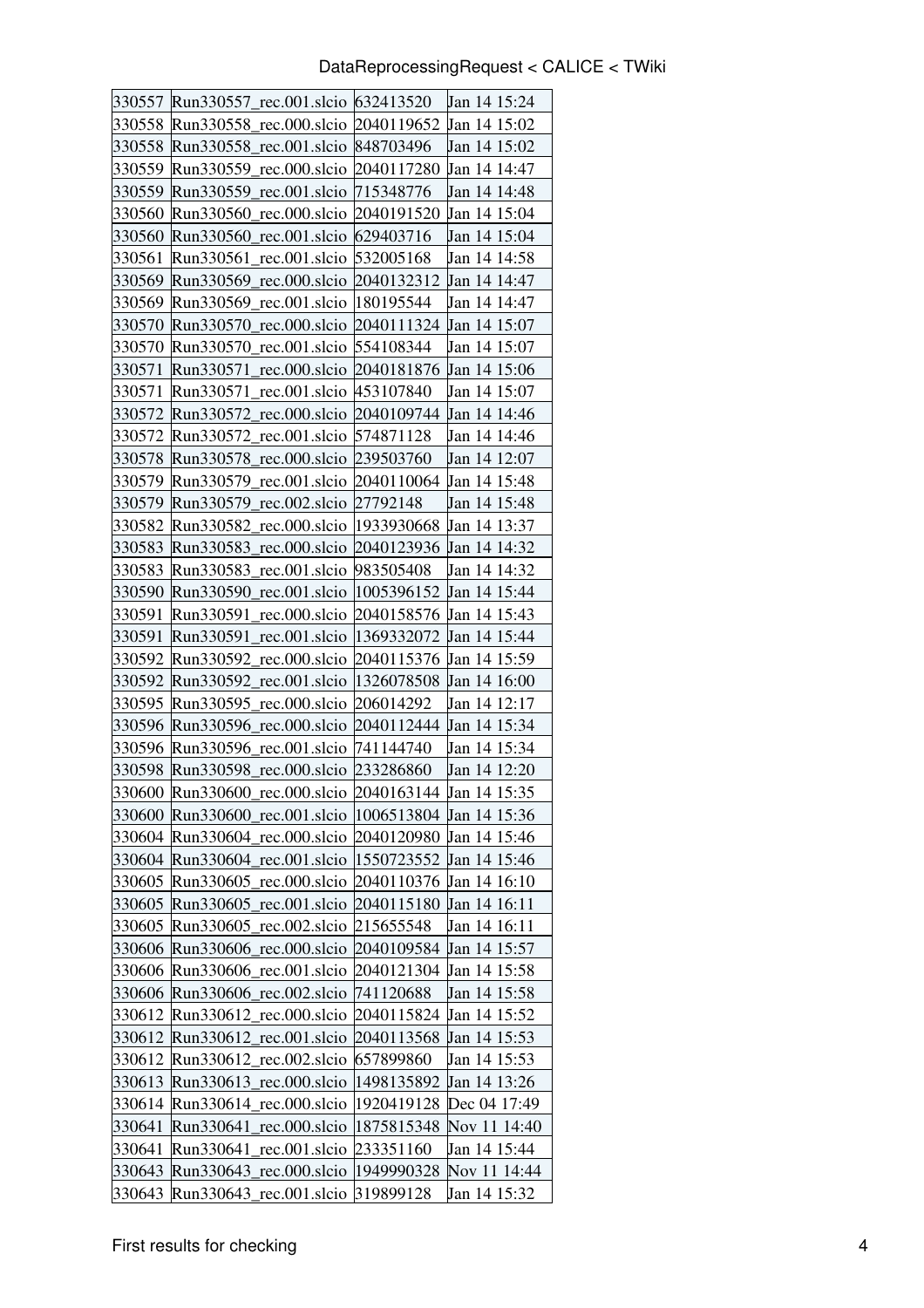| 330557 | Run330557_rec.001.slcio 632413520                      |            | Jan 14 15:24 |
|--------|--------------------------------------------------------|------------|--------------|
| 330558 | Run330558 rec.000.slcio                                | 2040119652 | Jan 14 15:02 |
| 330558 | rec.001.slcio   848703496<br>Run330558                 |            | Jan 14 15:02 |
| 330559 | Run330559 rec.000.slcio                                | 2040117280 | Jan 14 14:47 |
| 330559 | Run330559<br>rec.001.slcio                             | 715348776  | Jan 14 14:48 |
| 330560 | Run330560 rec.000.slcio                                | 2040191520 | Jan 14 15:04 |
| 330560 | Run330560 rec.001.slcio                                | 629403716  | Jan 14 15:04 |
| 330561 | Run330561<br>rec.001.slcio                             | 532005168  | Jan 14 14:58 |
| 330569 | Run330569 rec.000.slcio                                | 2040132312 | Jan 14 14:47 |
| 330569 | Run330569<br>rec.001.slcio                             | 180195544  | Jan 14 14:47 |
| 330570 | Run330570 rec.000.slcio 2040111324                     |            | Jan 14 15:07 |
| 330570 | Run330570_rec.001.slcio 554108344                      |            | Jan 14 15:07 |
| 330571 | Run330571<br>rec.000.slcio                             | 2040181876 | Jan 14 15:06 |
| 330571 | Run330571 rec.001.slcio                                | 453107840  | Jan 14 15:07 |
| 330572 | Run330572 rec.000.slcio                                | 2040109744 | Jan 14 14:46 |
| 330572 | Run330572 rec.001.slcio 574871128                      |            | Jan 14 14:46 |
| 330578 | Run330578_rec.000.slcio 239503760                      |            | Jan 14 12:07 |
| 330579 | Run330579 rec.001.slcio 2040110064                     |            | Jan 14 15:48 |
| 330579 | Run330579 rec.002.slcio                                | 27792148   | Jan 14 15:48 |
| 330582 | Run330582 rec.000.slcio                                | 1933930668 | Jan 14 13:37 |
| 330583 | Run330583 rec.000.slcio 2040123936                     |            | Jan 14 14:32 |
| 330583 | Run330583_rec.001.slcio                                | 983505408  | Jan 14 14:32 |
| 330590 | Run330590<br>rec.001.slcio                             | 1005396152 | Jan 14 15:44 |
| 330591 | rec.000.slcio<br>Run330591                             | 2040158576 | Jan 14 15:43 |
| 330591 | Run330591<br>rec.001.slcio                             | 1369332072 | Jan 14 15:44 |
| 330592 | Run330592<br>rec.000.slcio 2040115376                  |            | Jan 14 15:59 |
|        | 330592 Run330592 rec.001.slcio 1326078508              |            | Jan 14 16:00 |
| 330595 | Run330595<br>rec.000.slcio                             | 206014292  | Jan 14 12:17 |
| 330596 | Run330596 rec.000.slcio 2040112444                     |            | Jan 14 15:34 |
| 330596 | Run $330596$ rec.001.slcio                             | 741144740  | Jan 14 15:34 |
| 330598 | Run330598 rec.000.slcio 233286860                      |            | Jan 14 12:20 |
|        | 330600 Run330600_rec.000.slcio 2040163144 Jan 14 15:35 |            |              |
| 330600 | Run330600_rec.001.slcio                                | 1006513804 | Jan 14 15:36 |
|        | 330604 Run330604 rec.000.slcio                         | 2040120980 | Jan 14 15:46 |
|        | 330604 Run330604_rec.001.slcio                         | 1550723552 | Jan 14 15:46 |
|        | 330605 Run330605 rec.000.slcio                         | 2040110376 | Jan 14 16:10 |
| 330605 | Run330605 rec.001.slcio                                | 2040115180 | Jan 14 16:11 |
| 330605 | Run330605_rec.002.slcio                                | 215655548  | Jan 14 16:11 |
| 330606 | Run330606_rec.000.slcio                                | 2040109584 | Jan 14 15:57 |
|        | 330606 Run330606_rec.001.slcio                         | 2040121304 | Jan 14 15:58 |
| 330606 | Run330606_rec.002.slcio                                | 741120688  | Jan 14 15:58 |
|        | 330612 Run330612_rec.000.slcio                         | 2040115824 | Jan 14 15:52 |
|        | 330612 Run330612_rec.001.slcio                         | 2040113568 | Jan 14 15:53 |
| 330612 | Run330612<br>rec.002.slcio                             | 657899860  | Jan 14 15:53 |
|        | 330613 Run330613_rec.000.slcio                         | 1498135892 | Jan 14 13:26 |
| 330614 | Run330614_rec.000.slcio                                | 1920419128 | Dec 04 17:49 |
| 330641 | rec.000.slcio<br>Run330641                             | 1875815348 | Nov 11 14:40 |
| 330641 | Run330641<br>rec.001.slcio                             | 233351160  | Jan 14 15:44 |
| 330643 | rec.000.slcio<br>Run330643                             | 1949990328 | Nov 11 14:44 |
| 330643 | Run330643_rec.001.slcio                                | 319899128  | Jan 14 15:32 |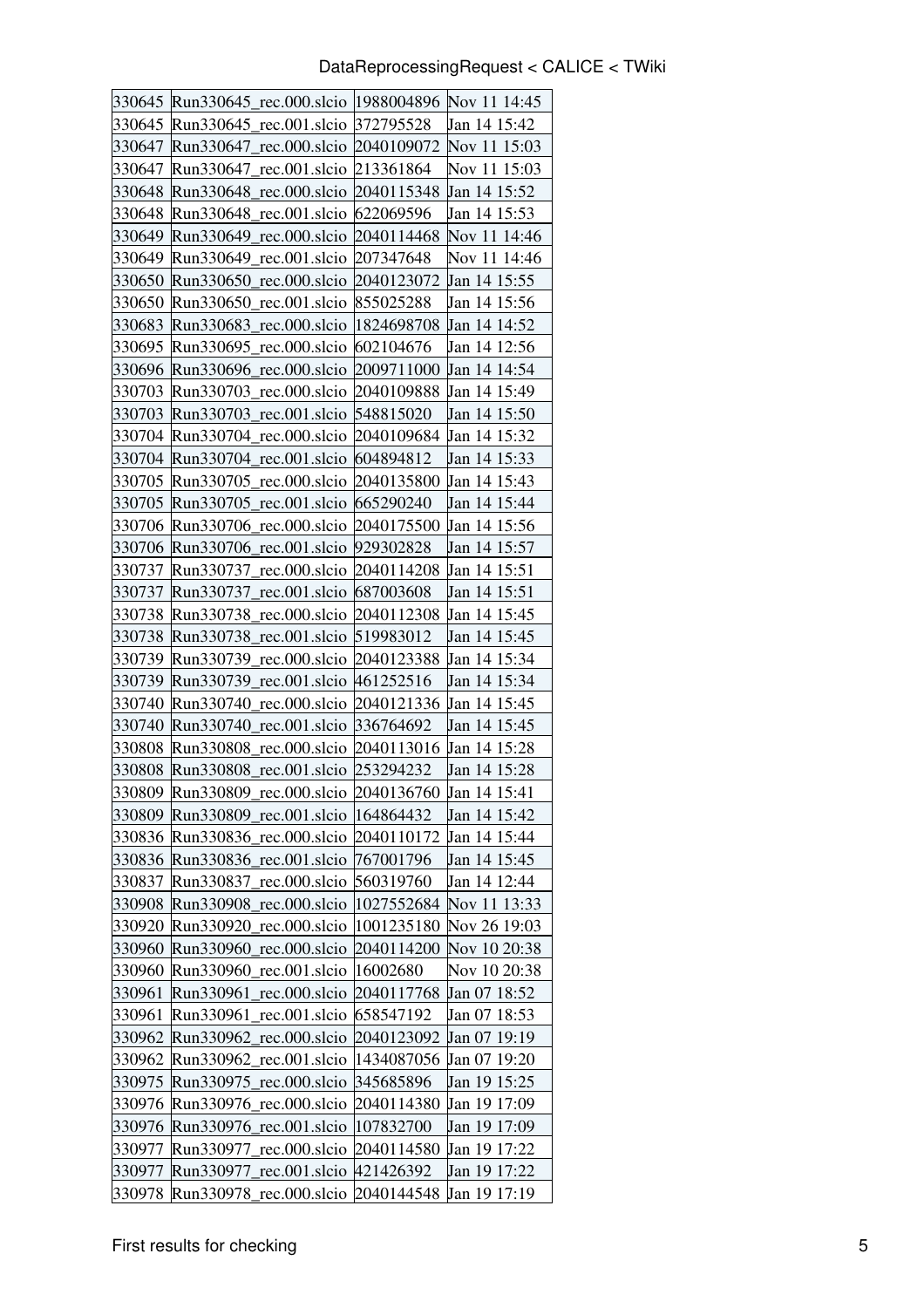| 330645 | Run330645_rec.000.slcio  1988004896 Nov 11 14:45 |            |              |
|--------|--------------------------------------------------|------------|--------------|
| 330645 | Run330645<br>rec.001.slcio                       | 372795528  | Jan 14 15:42 |
| 330647 | rec.000.slcio 2040109072<br>Run330647            |            | Nov 11 15:03 |
| 330647 | Run330647<br>rec.001.slcio                       | 213361864  | Nov 11 15:03 |
| 330648 | Run330648<br>rec.000.slcio                       | 2040115348 | Jan 14 15:52 |
| 330648 | Run330648_rec.001.slcio                          | 622069596  | Jan 14 15:53 |
| 330649 | Run330649 rec.000.slcio                          | 2040114468 | Nov 11 14:46 |
| 330649 | Run330649 rec.001.slcio                          | 207347648  | Nov 11 14:46 |
| 330650 | Run330650 rec.000.slcio                          | 2040123072 | Jan 14 15:55 |
| 330650 | Run330650 rec.001.slcio                          | 855025288  | Jan 14 15:56 |
| 330683 | Run330683 rec.000.slcio  1824698708              |            | Jan 14 14:52 |
| 330695 | Run330695_rec.000.slcio 602104676                |            | Jan 14 12:56 |
| 330696 | Run330696 rec.000.slcio                          | 2009711000 | Jan 14 14:54 |
| 330703 | Run330703 rec.000.slcio                          | 2040109888 | Jan 14 15:49 |
| 330703 | Run330703 rec.001.slcio                          | 548815020  | Jan 14 15:50 |
| 330704 | Run330704 rec.000.slcio 2040109684               |            | Jan 14 15:32 |
|        | 330704 Run330704_rec.001.slcio  604894812        |            | Jan 14 15:33 |
| 330705 | Run330705 rec.000.slcio                          | 2040135800 | Jan 14 15:43 |
| 330705 | Run330705_rec.001.slcio 665290240                |            | Jan 14 15:44 |
| 330706 | Run330706 rec.000.slcio                          | 2040175500 | Jan 14 15:56 |
| 330706 | Run330706 rec.001.slcio 929302828                |            | Jan 14 15:57 |
| 330737 | Run330737_rec.000.slcio 2040114208               |            | Jan 14 15:51 |
| 330737 | Run330737<br>rec.001.slcio                       | 687003608  | Jan 14 15:51 |
| 330738 | rec.000.slcio 2040112308<br>Run330738            |            | Jan 14 15:45 |
| 330738 | Run330738<br>rec.001.slcio                       | 519983012  | Jan 14 15:45 |
| 330739 | rec.000.slcio 2040123388<br>Run330739            |            | Jan 14 15:34 |
| 330739 | Run330739_rec.001.slcio 461252516                |            | Jan 14 15:34 |
| 330740 | rec.000.slcio<br>Run330740                       | 2040121336 | Jan 14 15:45 |
| 330740 | Run330740 rec.001.slcio                          | 336764692  | Jan 14 15:45 |
| 330808 | Run330808_rec.000.slcio                          | 2040113016 | Jan 14 15:28 |
| 330808 | Run330808_rec.001.slcio 253294232                |            | Jan 14 15:28 |
|        | 330809 Run330809_rec.000.slcio 2040136760        |            | Jan 14 15:41 |
| 330809 | rec.001.slcio<br>Run330809                       | 164864432  | Jan 14 15:42 |
| 330836 | rec.000.slcio<br>Run330836                       | 2040110172 | Jan 14 15:44 |
| 330836 | Run330836_rec.001.slcio                          | 767001796  | Jan 14 15:45 |
| 330837 | Run330837<br>rec.000.slcio                       | 560319760  | Jan 14 12:44 |
| 330908 | Run330908 rec.000.slcio                          | 1027552684 | Nov 11 13:33 |
| 330920 | Run330920<br>rec.000.slcio                       | 1001235180 | Nov 26 19:03 |
| 330960 | Run330960<br>rec.000.slcio                       | 2040114200 | Nov 10 20:38 |
| 330960 | rec.001.slcio<br>Run330960                       | 16002680   | Nov 10 20:38 |
| 330961 | Run330961<br>rec.000.slcio                       | 2040117768 | Jan 07 18:52 |
| 330961 | rec.001.slcio<br>Run330961                       | 658547192  | Jan 07 18:53 |
| 330962 | Run330962<br>rec.000.slcio                       | 2040123092 | Jan 07 19:19 |
| 330962 | rec.001.slcio<br>Run330962                       | 1434087056 | Jan 07 19:20 |
| 330975 | Run330975<br>rec.000.slcio                       | 345685896  | Jan 19 15:25 |
| 330976 | Run330976<br>rec.000.slcio                       | 2040114380 | Jan 19 17:09 |
| 330976 | Run330976<br>rec.001.slcio                       | 107832700  | Jan 19 17:09 |
| 330977 | Run330977<br>rec.000.slcio                       | 2040114580 | Jan 19 17:22 |
| 330977 | rec.001.slcio<br>Run330977                       | 421426392  | Jan 19 17:22 |
| 330978 | rec.000.slcio<br>Run330978                       | 2040144548 | Jan 19 17:19 |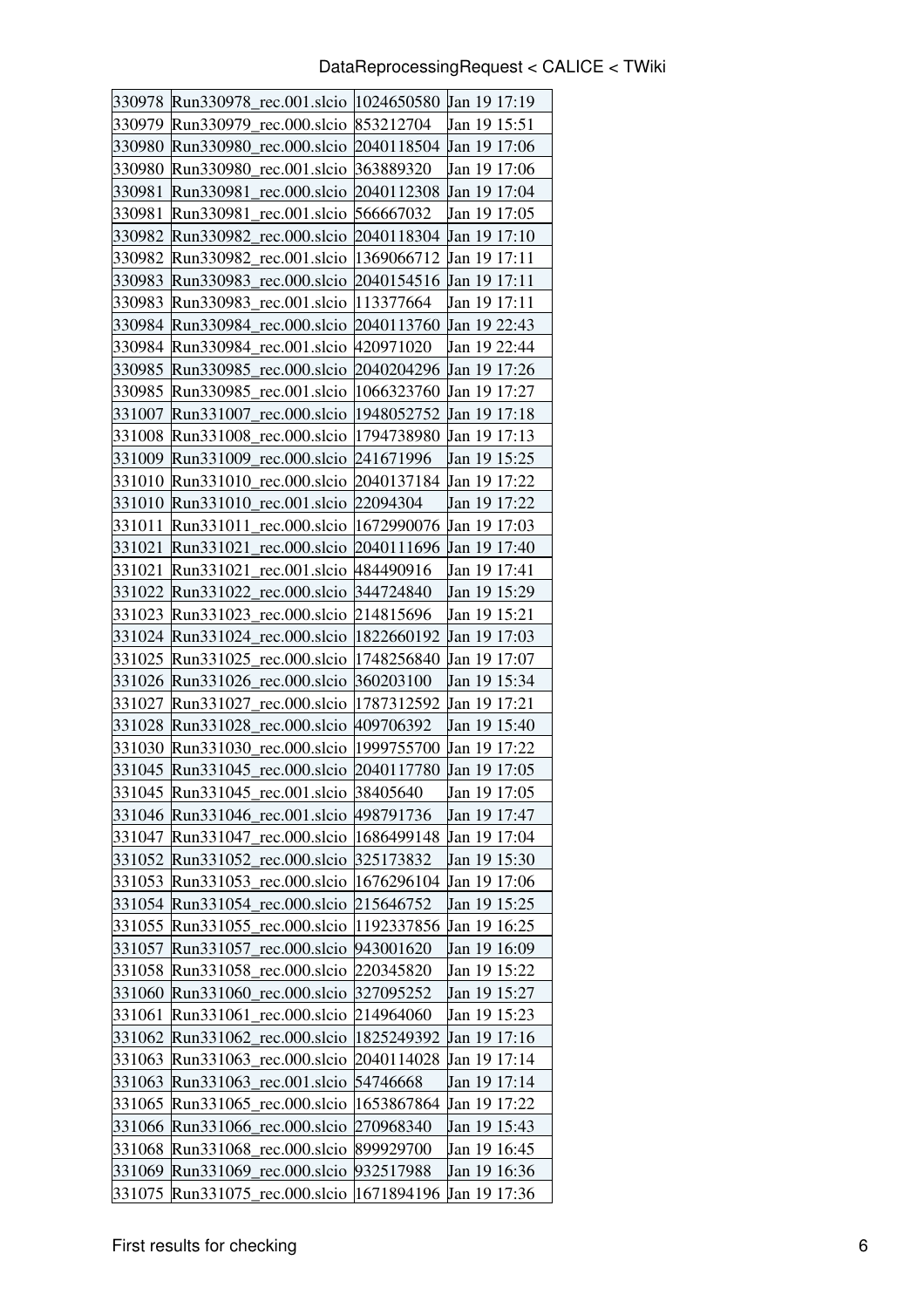| 330978 | Run330978_rec.001.slcio  1024650580                  |            | Jan 19 17:19        |
|--------|------------------------------------------------------|------------|---------------------|
| 330979 | Run330979<br>rec.000.slcio                           | 853212704  | Jan 19 15:51        |
| 330980 | Run330980<br>rec.000.slcio                           | 2040118504 | Jan 19 17:06        |
| 330980 | rec.001.slcio<br>Run330980                           | 363889320  | Jan 19 17:06        |
| 330981 | Run330981<br>rec.000.slcio                           | 2040112308 | Jan 19 17:04        |
| 330981 | Run330981<br>rec.001.slcio                           | 566667032  | Jan 19 17:05        |
| 330982 | Run330982_rec.000.slcio                              | 2040118304 | Jan 19 17:10        |
| 330982 | rec.001.slcio   1369066712<br>Run330982              |            | Jan 19 17:11        |
| 330983 | Run330983_rec.000.slcio                              | 2040154516 | <b>Jan 19 17:11</b> |
| 330983 | Run330983<br>rec.001.slcio                           | 113377664  | Jan 19 17:11        |
| 330984 | Run330984 rec.000.slcio 2040113760                   |            | <b>Jan 19 22:43</b> |
|        | 330984   Run330984_rec.001.slcio   420971020         |            | Jan 19 22:44        |
| 330985 | Run330985<br>rec.000.slcio                           | 2040204296 | Jan 19 17:26        |
| 330985 | Run330985<br>rec.001.slcio                           | 1066323760 | Jan 19 17:27        |
| 331007 | Run331007<br>rec.000.slcio                           | 1948052752 | Jan 19 17:18        |
| 331008 | Run331008 rec.000.slcio  1794738980                  |            | Jan 19 17:13        |
| 331009 | Run331009_rec.000.slcio 241671996                    |            | Jan 19 15:25        |
| 331010 | rec.000.slcio 2040137184<br>Run331010                |            | Jan 19 17:22        |
| 331010 | rec.001.slcio<br>Run331010                           | 22094304   | Jan 19 17:22        |
| 331011 | $Run331011 \text{ rec.}000.\text{slcio}$             | 1672990076 | Jan 19 17:03        |
| 331021 | rec.000.slcio   2040111696 Jan 19 17:40<br>Run331021 |            |                     |
| 331021 | Run331021_rec.001.slcio  484490916                   |            | Jan 19 17:41        |
| 331022 | rec.000.slcio<br>Run331022                           | 344724840  | Jan 19 15:29        |
| 331023 | Run331023 rec.000.slcio                              | 214815696  | Jan 19 15:21        |
|        | 331024 Run331024_rec.000.slcio                       | 1822660192 | <b>Jan 19 17:03</b> |
| 331025 | Run331025_rec.000.slcio                              | 1748256840 | Jan 19 17:07        |
| 331026 | Run331026_rec.000.slcio                              | 360203100  | Jan 19 15:34        |
| 331027 | rec.000.slcio<br>Run331027                           | 1787312592 | Jan 19 17:21        |
| 331028 | Run331028<br>rec.000.slcio 409706392                 |            | Jan 19 15:40        |
|        | 331030 Run331030_rec.000.slcio  1999755700           |            | Jan 19 17:22        |
| 331045 | Run331045_rec.000.slcio                              | 2040117780 | Jan 19 17:05        |
|        | 331045 Run331045 rec.001.slcio                       | 38405640   | Jan 19 17:05        |
| 331046 | Run331046_rec.001.slcio                              | 498791736  | Jan 19 17:47        |
| 331047 | Run331047_rec.000.slcio                              | 1686499148 | Jan 19 17:04        |
|        | 331052 Run331052_rec.000.slcio                       | 325173832  | Jan 19 15:30        |
| 331053 | Run331053<br>rec.000.slcio                           | 1676296104 | Jan 19 17:06        |
| 331054 | Run331054_rec.000.slcio                              | 215646752  | Jan 19 15:25        |
| 331055 | Run331055_rec.000.slcio                              | 1192337856 | Jan 19 16:25        |
| 331057 | rec.000.slcio<br>Run331057                           | 943001620  | Jan 19 16:09        |
| 331058 | Run331058 rec.000.slcio                              | 220345820  | Jan 19 15:22        |
| 331060 | rec.000.slcio<br>Run331060                           | 327095252  | Jan 19 15:27        |
| 331061 | Run331061 rec.000.slcio                              | 214964060  | Jan 19 15:23        |
| 331062 | Run331062_rec.000.slcio                              | 1825249392 | Jan 19 17:16        |
| 331063 | Run331063_rec.000.slcio                              | 2040114028 | Jan 19 17:14        |
| 331063 | Run331063_rec.001.slcio                              | 54746668   | Jan 19 17:14        |
| 331065 | Run331065_rec.000.slcio                              | 1653867864 | Jan 19 17:22        |
| 331066 | Run331066<br>rec.000.slcio                           | 270968340  | Jan 19 15:43        |
| 331068 | Run331068_rec.000.slcio                              | 899929700  | Jan 19 16:45        |
| 331069 | Run331069_rec.000.slcio                              | 932517988  | Jan 19 16:36        |
| 331075 | Run331075_rec.000.slcio                              | 1671894196 | Jan 19 17:36        |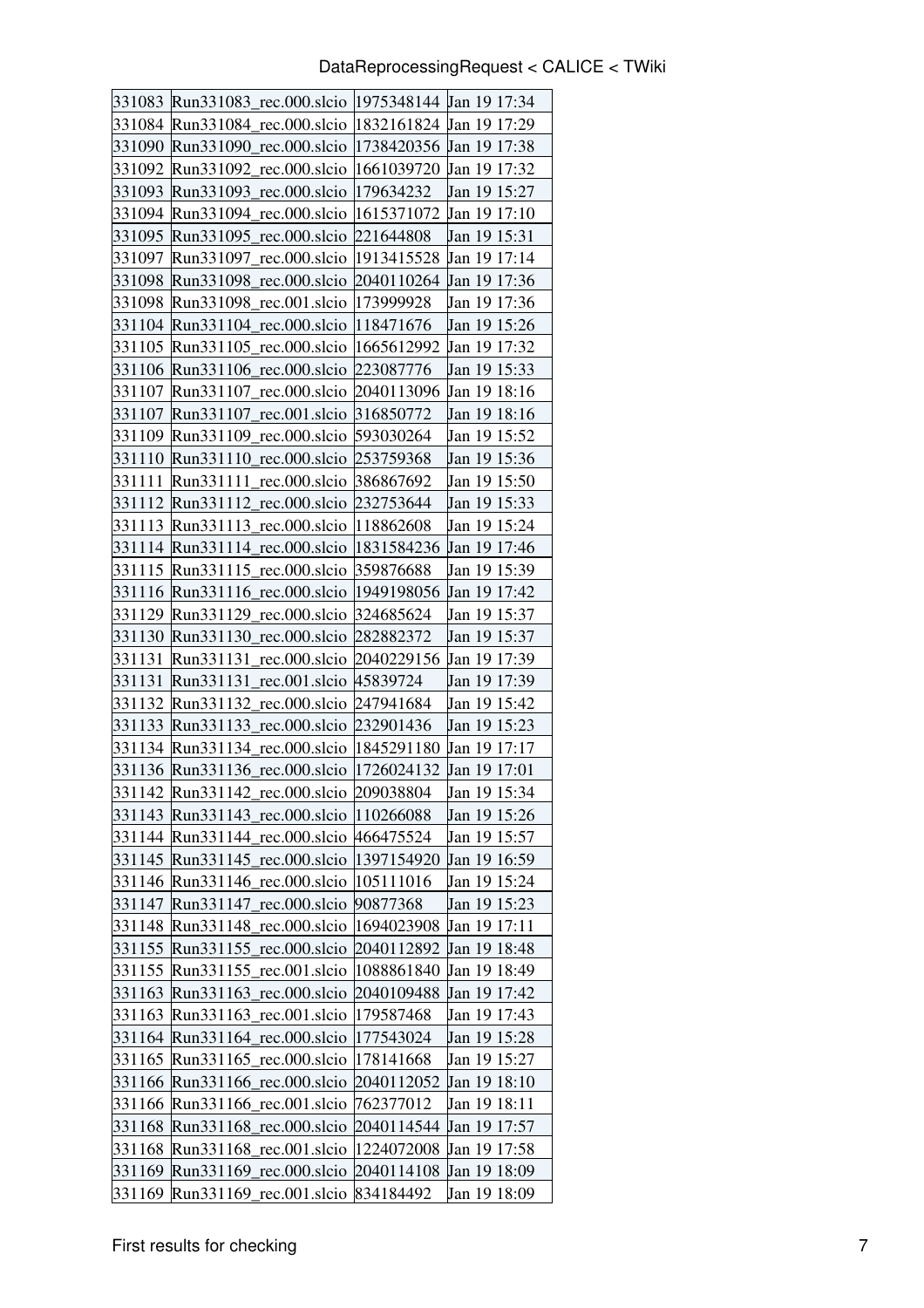|        | 331083 Run331083_rec.000.slcio  1975348144 Jan 19 17:34  |                         |              |
|--------|----------------------------------------------------------|-------------------------|--------------|
|        | 331084 Run331084_rec.000.slcio                           | 1832161824 Jan 19 17:29 |              |
| 331090 | Run331090 rec.000.slcio                                  | 1738420356              | Jan 19 17:38 |
| 331092 | Run331092 rec.000.slcio                                  | 1661039720              | Jan 19 17:32 |
| 331093 | Run331093 rec.000.slcio                                  | 179634232               | Jan 19 15:27 |
|        | 331094 Run331094 rec.000.slcio 1615371072                |                         | Jan 19 17:10 |
|        | 331095 Run331095_rec.000.slcio                           | 221644808               | Jan 19 15:31 |
|        | 331097 Run331097 rec.000.slcio   1913415528              |                         | Jan 19 17:14 |
| 331098 | Run331098_rec.000.slcio                                  | 2040110264              | Jan 19 17:36 |
| 331098 | Run331098 rec.001.slcio                                  | 173999928               | Jan 19 17:36 |
|        | 331104 Run331104 rec.000.slcio  118471676                |                         | Jan 19 15:26 |
|        | 331105 Run331105_rec.000.slcio  1665612992               |                         | Jan 19 17:32 |
|        | 331106 Run331106_rec.000.slcio 223087776                 |                         | Jan 19 15:33 |
| 331107 | Run331107 rec.000.slcio 2040113096                       |                         | Jan 19 18:16 |
| 331107 | Run331107 rec.001.slcio                                  | 316850772               | Jan 19 18:16 |
|        | 331109 Run331109 rec.000.slcio 593030264                 |                         | Jan 19 15:52 |
|        | 331110 Run331110_rec.000.slcio 253759368                 |                         | Jan 19 15:36 |
| 331111 | Run331111 rec.000.slcio                                  | 386867692               | Jan 19 15:50 |
|        | 331112 Run331112 rec.000.slcio                           | 232753644               | Jan 19 15:33 |
|        | 331113 Run331113 rec.000.slcio  118862608                |                         | Jan 19 15:24 |
|        | 331114 Run331114 rec.000.slcio  1831584236               |                         | Jan 19 17:46 |
|        | 331115 Run331115_rec.000.slcio 359876688                 |                         | Jan 19 15:39 |
| 331116 | Run331116_rec.000.slcio                                  | 1949198056              | Jan 19 17:42 |
|        | 331129 Run331129 rec.000.slcio                           | 324685624               | Jan 19 15:37 |
|        | 331130 Run331130 rec.000.slcio                           | 282882372               | Jan 19 15:37 |
| 331131 | Run331131 rec.000.slcio 2040229156                       |                         | Jan 19 17:39 |
| 331131 | Run331131_rec.001.slcio 45839724                         |                         | Jan 19 17:39 |
| 331132 | Run331132 rec.000.slcio                                  | 247941684               | Jan 19 15:42 |
| 331133 | Run331133 rec.000.slcio 232901436                        |                         | Jan 19 15:23 |
|        | 331134 Run331134 rec.000.slcio   1845291180 Jan 19 17:17 |                         |              |
|        | 331136 Run331136_rec.000.slcio  1726024132               |                         | Jan 19 17:01 |
|        | 331142 Run331142_rec.000.slcio 209038804                 |                         | Jan 19 15:34 |
|        | 331143 Run331143_rec.000.slcio                           | 110266088               | Jan 19 15:26 |
|        | 331144 Run331144_rec.000.slcio 466475524                 |                         | Jan 19 15:57 |
|        | 331145 Run331145 rec.000.slcio                           | 1397154920              | Jan 19 16:59 |
|        | 331146 Run331146 rec.000.slcio                           | 105111016               | Jan 19 15:24 |
| 331147 | Run331147_rec.000.slcio                                  | 90877368                | Jan 19 15:23 |
|        | 331148 Run331148 rec.000.slcio                           | 1694023908              | Jan 19 17:11 |
|        | 331155 Run331155_rec.000.slcio 2040112892                |                         | Jan 19 18:48 |
|        | 331155 Run331155 rec.001 slcio                           | 1088861840              | Jan 19 18:49 |
|        | 331163 Run331163_rec.000.slcio                           | 2040109488              | Jan 19 17:42 |
|        | 331163 Run331163 rec.001.slcio                           | 179587468               | Jan 19 17:43 |
|        | 331164 Run331164_rec.000.slcio                           | 177543024               | Jan 19 15:28 |
|        | 331165 Run331165 rec.000 slcio                           | 178141668               | Jan 19 15:27 |
|        | 331166 Run331166 rec.000 slcio                           | 2040112052              | Jan 19 18:10 |
| 331166 | Run331166_rec.001.slcio                                  | 762377012               | Jan 19 18:11 |
|        | 331168 Run331168 rec.000.slcio                           | 2040114544              | Jan 19 17:57 |
|        | 331168 Run331168 rec.001 slcio                           | 1224072008              | Jan 19 17:58 |
|        | 331169 Run331169_rec.000.slcio 2040114108                |                         | Jan 19 18:09 |
|        | 331169 Run331169 rec.001.slcio                           | 834184492               | Jan 19 18:09 |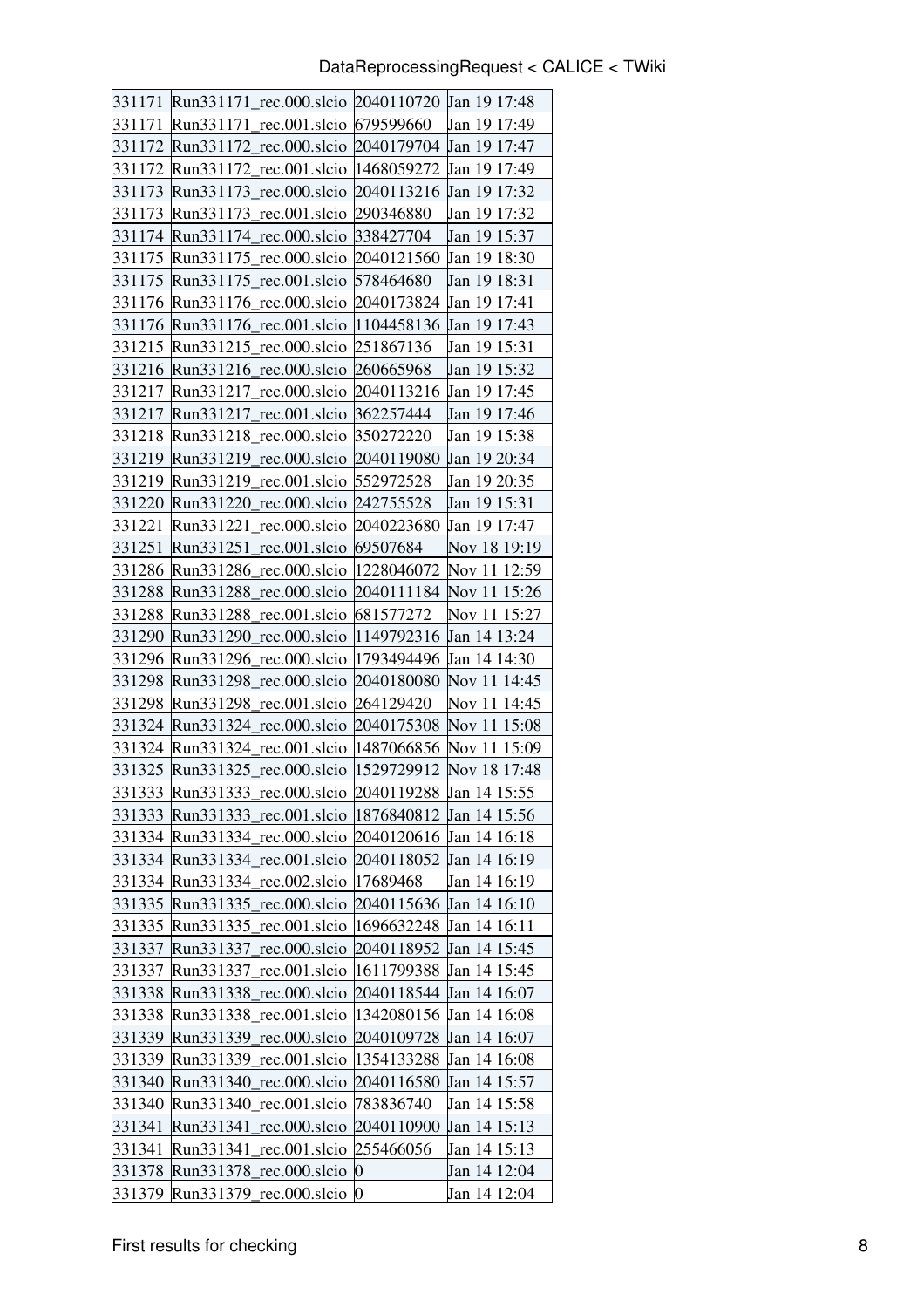| 331171           | Run331171_rec.000.slcio 2040110720 Jan 19 17:48            |                         |                              |
|------------------|------------------------------------------------------------|-------------------------|------------------------------|
| 331171           | Run331171<br>rec.001.slcio                                 | 679599660               | Jan 19 17:49                 |
| 331172           | rec.000.slcio<br>Run331172                                 | 2040179704              | Jan 19 17:47                 |
| 331172           | Run331172 rec.001.slcio                                    | 1468059272              | Jan 19 17:49                 |
| 331173           | Run331173 rec.000.slcio                                    | 2040113216              | Jan 19 17:32                 |
| 331173           | Run331173 rec.001.slcio                                    | 290346880               | Jan 19 17:32                 |
| 331174           | Run331174_rec.000.slcio                                    | 338427704               | Jan 19 15:37                 |
| 331175           | Run331175 rec.000.slcio 2040121560                         |                         | Jan 19 18:30                 |
| 331175           | Run331175_rec.001.slcio                                    | 578464680               | Jan 19 18:31                 |
| 331176           | Run331176 rec.000.slcio                                    | 2040173824              | Jan 19 17:41                 |
|                  | 331176 Run331176 rec.001.slcio  1104458136 Jan 19 17:43    |                         |                              |
| 331215           | Run331215_rec.000.slcio 251867136                          |                         | Jan 19 15:31                 |
| 331216           | Run331216 rec.000.slcio 260665968                          |                         | Jan 19 15:32                 |
| 331217           | Run331217 rec.000.slcio                                    | 2040113216              | Jan 19 17:45                 |
| 331217           | Run331217 rec.001.slcio                                    | 362257444               | Jan 19 17:46                 |
| 331218           | Run331218 rec.000.slcio 350272220                          |                         | Jan 19 15:38                 |
|                  | 331219 Run331219_rec.000.slcio  2040119080 Jan 19 20:34    |                         |                              |
| 331219           | Run331219 rec.001.slcio 552972528                          |                         | Jan 19 20:35                 |
| 331220           | Run331220 rec.000.slcio                                    | 242755528               | Jan 19 15:31                 |
| 331221           | $Run331221 \text{ rec.}000.\text{slcio}$                   | 2040223680              | Jan 19 17:47                 |
| 331251           | Run331251 rec.001.slcio 69507684                           |                         | Nov 18 19:19                 |
|                  | 331286 Run331286_rec.000.slcio  1228046072                 |                         | Nov 11 12:59                 |
| 331288           | Run331288<br>rec.000.slcio                                 | 2040111184              | Nov 11 15:26                 |
| 331288           | Run331288 rec.001.slcio 681577272                          |                         | Nov 11 15:27                 |
| 331290           | Run331290 rec.000.slcio                                    | 1149792316 Jan 14 13:24 |                              |
| 331296           | Run331296 rec.000.slcio  1793494496                        |                         | Jan 14 14:30                 |
|                  | 331298 Run331298_rec.000.slcio 2040180080                  |                         | Nov 11 14:45                 |
| 331298           | Run331298 rec.001.slcio                                    | 264129420               | Nov 11 14:45                 |
| 331324           | Run331324 rec.000.slcio 2040175308 Nov 11 15:08            |                         |                              |
|                  | 331324   Run331324 rec.001.slcio                           | 1487066856              | Nov 11 15:09                 |
| 331325           | Run331325 rec.000.slcio                                    | 1529729912              | Nov 18 17:48                 |
|                  | 331333 Run331333_rec.000.slcio 2040119288 Jan 14 15:55     |                         |                              |
| 331333           |                                                            |                         |                              |
|                  | Run331333_rec.001.slcio                                    | 1876840812              | Jan 14 15:56                 |
|                  | 331334 Run331334 rec.000.slcio                             | 2040120616 Jan 14 16:18 |                              |
|                  | 331334 Run331334_rec.001.slcio                             | 2040118052              | Jan 14 16:19                 |
| 331334           | Run331334 rec.002.slcio                                    | 17689468                | Jan 14 16:19                 |
| 331335           | Run331335 rec.000.slcio                                    | 2040115636              | Jan 14 16:10                 |
| 331335           | Run331335_rec.001.slcio                                    | 1696632248              | Jan 14 16:11                 |
| 331337           | Run331337<br>rec.000.slcio                                 | 2040118952              | Jan 14 15:45                 |
| 331337           | rec.001.slcio<br>Run331337                                 | 1611799388              | Jan 14 15:45                 |
| 331338           | Run331338<br>rec.000.slcio                                 | 2040118544              | Jan 14 16:07                 |
| 331338           | rec.001.slcio<br>Run331338                                 | 1342080156              | Jan 14 16:08                 |
|                  | 331339 Run331339<br>rec.000.slcio                          | 2040109728              | Jan 14 16:07                 |
| 331339           | Run331339<br>rec.001.slcio                                 | 1354133288              | Jan 14 16:08                 |
|                  | 331340 Run331340<br>rec.000.slcio                          | 2040116580              | Jan 14 15:57                 |
| 331340           | Run331340<br>rec.001.slcio                                 | 783836740               | Jan 14 15:58                 |
| 331341           | Run331341<br>rec.000.slcio                                 | 2040110900              | Jan 14 15:13                 |
| 331341           | Run331341<br>rec.001.slcio                                 | 255466056               | Jan 14 15:13                 |
| 331378<br>331379 | rec.000.slcio 0<br>Run331378<br>Run331379<br>rec.000.slcio | 0                       | Jan 14 12:04<br>Jan 14 12:04 |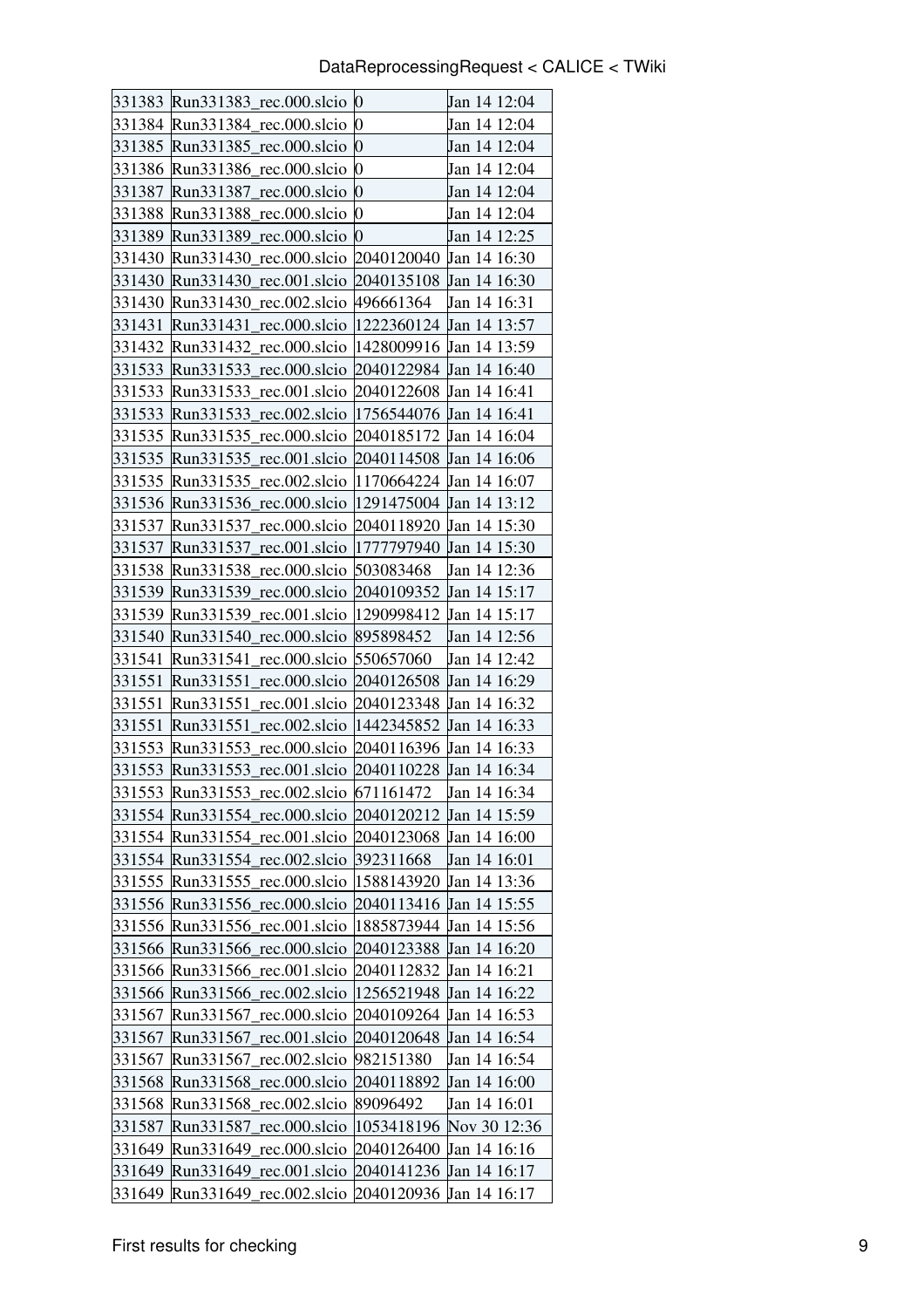|        | 331383 Run331383_rec.000.slcio 0                          |                         | Jan 14 12:04 |
|--------|-----------------------------------------------------------|-------------------------|--------------|
|        | 331384 Run331384_rec.000.slcio                            | $\bf{0}$                | Jan 14 12:04 |
|        | 331385 Run331385_rec.000.slcio 0                          |                         | Jan 14 12:04 |
|        | 331386 Run331386_rec.000.slcio                            | 0                       | Jan 14 12:04 |
| 331387 | Run331387_rec.000.slcio                                   | $\overline{0}$          | Jan 14 12:04 |
|        | 331388 Run331388_rec.000.slcio                            | 0                       | Jan 14 12:04 |
|        | 331389 Run331389_rec.000.slcio                            | $\boldsymbol{0}$        | Jan 14 12:25 |
|        | 331430 Run331430 rec.000.slcio                            | 2040120040 Jan 14 16:30 |              |
| 331430 | Run331430_rec.001.slcio 2040135108 Jan 14 16:30           |                         |              |
|        | 331430 Run331430 rec.002.slcio                            | 496661364               | Jan 14 16:31 |
| 331431 | Run331431 rec.000.slcio   1222360124 Jan 14 13:57         |                         |              |
|        | 331432 Run331432_rec.000.slcio  1428009916 Jan 14 13:59   |                         |              |
|        | 331533 Run331533_rec.000.slcio                            | 2040122984 Jan 14 16:40 |              |
| 331533 | Run331533_rec.001.slcio                                   | 2040122608 Jan 14 16:41 |              |
|        | 331533 Run331533_rec.002.slcio  1756544076 Jan 14 16:41   |                         |              |
|        | 331535  Run331535_rec.000.slcio  2040185172  Jan 14 16:04 |                         |              |
|        | 331535 Run331535_rec.001.slcio 2040114508 Jan 14 16:06    |                         |              |
| 331535 | Run331535_rec.002.slcio  1170664224 Jan 14 16:07          |                         |              |
|        | 331536 Run331536 rec.000.slcio  1291475004                |                         | Jan 14 13:12 |
| 331537 | Run331537_rec.000.slcio                                   | 2040118920 Jan 14 15:30 |              |
| 331537 | Run331537_rec.001.slcio  1777797940 Jan 14 15:30          |                         |              |
|        | 331538 Run331538_rec.000.slcio 503083468                  |                         | Jan 14 12:36 |
| 331539 | Run331539 rec.000.slcio                                   | 2040109352 Jan 14 15:17 |              |
|        | 331539 Run331539 rec.001.slcio   1290998412               |                         | Jan 14 15:17 |
|        | 331540 Run331540_rec.000.slcio  895898452                 |                         | Jan 14 12:56 |
| 331541 | Run331541 rec.000.slcio                                   | 550657060               | Jan 14 12:42 |
| 331551 | Run331551_rec.000.slcio 2040126508 Jan 14 16:29           |                         |              |
| 331551 | Run331551 rec.001.slcio                                   | 2040123348 Jan 14 16:32 |              |
| 331551 | rec.002.slcio  1442345852<br>Run331551                    |                         | Jan 14 16:33 |
|        | 331553 Run331553_rec.000.slcio  2040116396 Jan 14 16:33   |                         |              |
| 331553 | Run331553_rec.001.slcio                                   | 2040110228              | Jan 14 16:34 |
|        | 331553 Run331553_rec.002.slcio 671161472                  |                         | Jan 14 16:34 |
|        | 331554 Run331554 rec.000.slcio                            | 2040120212              | Jan 14 15:59 |
|        | 331554 Run331554 rec.001.slcio                            | 2040123068              | Jan 14 16:00 |
|        | 331554 Run331554 rec.002.slcio                            | 392311668               | Jan 14 16:01 |
| 331555 | Run331555 rec.000.slcio                                   | 1588143920              | Jan 14 13:36 |
| 331556 | Run331556_rec.000.slcio                                   | 2040113416              | Jan 14 15:55 |
| 331556 | Run331556_rec.001.slcio                                   | 1885873944              | Jan 14 15:56 |
|        | 331566 Run331566_rec.000.slcio                            | 2040123388              | Jan 14 16:20 |
| 331566 | Run331566 rec.001.slcio                                   | 2040112832              | Jan 14 16:21 |
| 331566 | Run331566_rec.002.slcio                                   | 1256521948              | Jan 14 16:22 |
| 331567 | Run331567_rec.000.slcio                                   | 2040109264              | Jan 14 16:53 |
|        | 331567 Run331567_rec.001.slcio                            | 2040120648              | Jan 14 16:54 |
| 331567 | Run331567<br>rec.002.slcio                                | 982151380               | Jan 14 16:54 |
| 331568 | Run331568_rec.000.slcio                                   | 2040118892              | Jan 14 16:00 |
| 331568 | Run331568_rec.002.slcio                                   | 89096492                | Jan 14 16:01 |
| 331587 | Run331587_rec.000.slcio                                   | 1053418196              | Nov 30 12:36 |
|        | 331649 Run331649_rec.000.slcio                            | 2040126400              | Jan 14 16:16 |
| 331649 | Run331649_rec.001.slcio                                   | 2040141236              | Jan 14 16:17 |
| 331649 | Run331649_rec.002.slcio                                   | 2040120936 Jan 14 16:17 |              |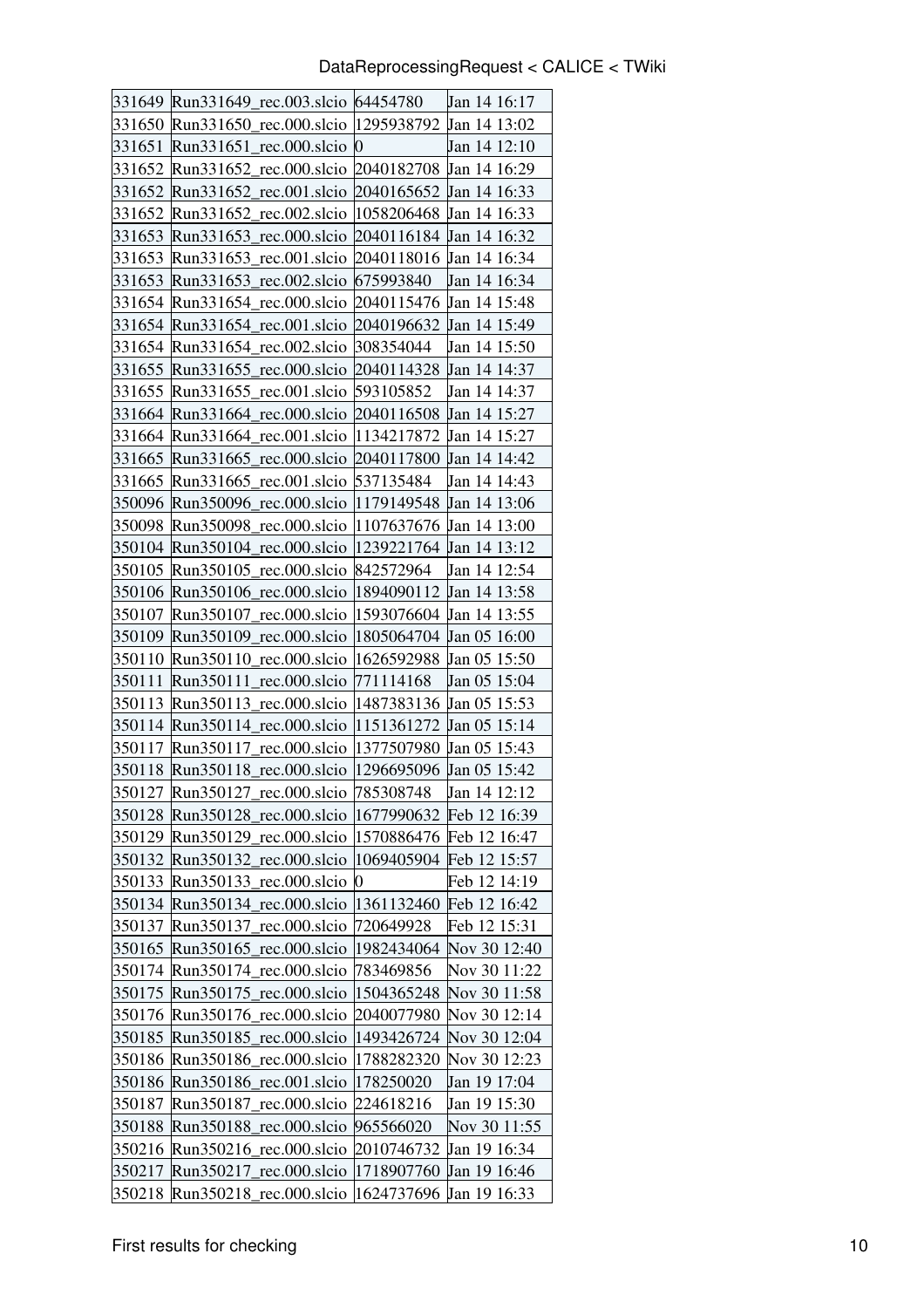|        | 331649 Run331649_rec.003.slcio 64454780             |                         | Jan 14 16:17            |
|--------|-----------------------------------------------------|-------------------------|-------------------------|
| 331650 | Run331650_rec.000.slcio  1295938792                 |                         | Jan 14 13:02            |
| 331651 | Run331651 rec.000.slcio 0                           |                         | Jan 14 12:10            |
| 331652 | Run331652 rec.000.slcio 2040182708 Jan 14 16:29     |                         |                         |
| 331652 | Run331652_rec.001.slcio 2040165652 Jan 14 16:33     |                         |                         |
| 331652 | Run331652_rec.002.slcio  1058206468 Jan 14 16:33    |                         |                         |
| 331653 | Run331653_rec.000.slcio 2040116184 Jan 14 16:32     |                         |                         |
| 331653 | Run331653_rec.001.slcio 2040118016 Jan 14 16:34     |                         |                         |
| 331653 | Run331653_rec.002.slcio 675993840                   |                         | Jan 14 16:34            |
| 331654 | Run331654 rec.000.slcio 2040115476 Jan 14 15:48     |                         |                         |
| 331654 | Run331654_rec.001.slcio 2040196632 Jan 14 15:49     |                         |                         |
| 331654 | Run331654_rec.002.slcio 308354044                   |                         | Jan 14 15:50            |
| 331655 | Run331655_rec.000.slcio  2040114328 Jan 14 14:37    |                         |                         |
| 331655 | Run331655_rec.001.slcio 593105852                   |                         | Jan 14 14:37            |
| 331664 | Run331664 rec.000.slcio                             | 2040116508 Jan 14 15:27 |                         |
| 331664 | Run331664 rec.001.slcio  1134217872 Jan 14 15:27    |                         |                         |
| 331665 | Run331665_rec.000.slcio 2040117800 Jan 14 14:42     |                         |                         |
| 331665 | Run331665 rec.001.slcio                             | 537135484               | Jan 14 14:43            |
| 350096 | Run350096_rec.000.slcio  1179149548 Jan 14 13:06    |                         |                         |
| 350098 | Run350098_rec.000.slcio  1107637676                 |                         | Jan 14 13:00            |
| 350104 | Run350104 rec.000.slcio   1239221764 Jan 14 13:12   |                         |                         |
|        | 350105 Run350105_rec.000.slcio 842572964            |                         | Jan 14 12:54            |
| 350106 | Run350106_rec.000.slcio                             | 1894090112              | <b>Jan 14 13:58</b>     |
| 350107 | Run350107_rec.000.slcio                             | 1593076604              | Jan 14 13:55            |
| 350109 | Run350109 rec.000.slcio                             | 1805064704 Jan 05 16:00 |                         |
| 350110 | Run350110_rec.000.slcio  1626592988 Jan 05 15:50    |                         |                         |
| 350111 | Run350111_rec.000.slcio  771114168                  |                         | Jan 05 15:04            |
| 350113 | Run350113 rec.000.slcio  1487383136 Jan 05 15:53    |                         |                         |
| 350114 | Run350114_rec.000.slcio  1151361272 Jan 05 15:14    |                         |                         |
| 350117 | Run350117 rec.000.slcio  1377507980                 |                         | $Jan\ 05\ 15:43$        |
| 350118 | Run350118_rec.000.slcio  1296695096 Jan 05 15:42    |                         |                         |
|        | 350127 Run350127_rec.000.slcio 785308748            |                         | Jan 14 12:12            |
| 350128 | Run350128 rec.000.slcio                             | 1677990632              | Feb 12 16:39            |
|        | 350129 Run350129_rec.000.slcio                      |                         | 1570886476 Feb 12 16:47 |
|        | 350132 Run350132_rec.000.slcio                      |                         | 1069405904 Feb 12 15:57 |
| 350133 | Run350133_rec.000.slcio                             | 0                       | Feb 12 14:19            |
| 350134 | Run350134_rec.000.slcio                             | 1361132460              | Feb 12 16:42            |
| 350137 | Run350137_rec.000.slcio                             | 720649928               | Feb 12 15:31            |
| 350165 | Run350165_rec.000.slcio                             | 1982434064              | Nov 30 12:40            |
|        | 350174 Run350174_rec.000.slcio                      | 783469856               | Nov 30 11:22            |
| 350175 | Run350175_rec.000.slcio                             | 1504365248              | Nov 30 11:58            |
| 350176 | Run350176_rec.000.slcio                             | 2040077980              | Nov 30 12:14            |
| 350185 | Run350185_rec.000.slcio                             | 1493426724              | Nov 30 12:04            |
| 350186 | Run350186_rec.000.slcio                             | 1788282320              | Nov 30 12:23            |
| 350186 | Run350186_rec.001.slcio                             | 178250020               | Jan 19 17:04            |
| 350187 | rec.000.slcio<br>Run350187                          | 224618216               | Jan 19 15:30            |
| 350188 | Run350188_rec.000.slcio                             | 965566020               | Nov 30 11:55            |
| 350216 | Run350216<br>rec.000.slcio                          | 2010746732              | Jan 19 16:34            |
| 350217 | Run350217<br>rec.000.slcio  1718907760 Jan 19 16:46 |                         |                         |
| 350218 | Run350218_rec.000.slcio                             | 1624737696              | Jan 19 16:33            |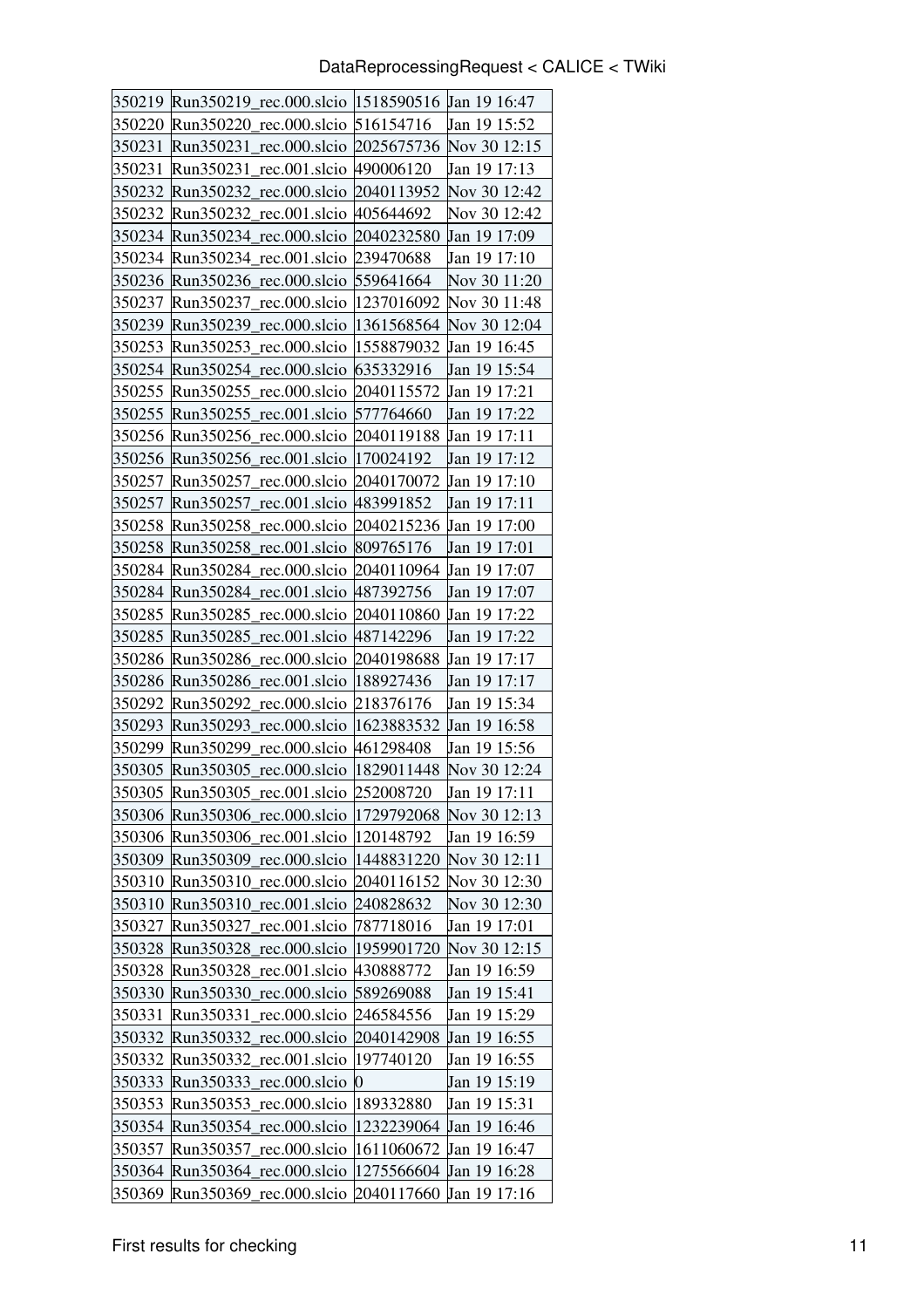|        | 350219   Run350219_rec.000.slcio   1518590516   Jan 19 16:47 |                  |                                       |
|--------|--------------------------------------------------------------|------------------|---------------------------------------|
| 350220 | Run350220<br>rec.000.slcio                                   | 516154716        | Jan 19 15:52                          |
| 350231 | Run350231                                                    |                  | rec.000.slcio 2025675736 Nov 30 12:15 |
| 350231 | Run350231 rec.001.slcio 490006120                            |                  | Jan 19 17:13                          |
| 350232 | Run350232<br>rec.000.slcio                                   | 2040113952       | Nov 30 12:42                          |
| 350232 | Run350232 rec.001.slcio 405644692                            |                  | Nov 30 12:42                          |
| 350234 | Run350234 rec.000.slcio                                      | 2040232580       | Jan 19 17:09                          |
| 350234 | Run350234 rec.001.slcio                                      | 239470688        | Jan 19 17:10                          |
| 350236 | Run350236 rec.000.slcio                                      | 559641664        | Nov 30 11:20                          |
| 350237 | Run350237<br>rec.000.slcio                                   | 1237016092       | Nov 30 11:48                          |
| 350239 | Run350239 rec.000.slcio   1361568564                         |                  | Nov 30 12:04                          |
| 350253 | Run350253 rec.000.slcio                                      | 1558879032       | Jan 19 16:45                          |
| 350254 | Run350254 rec.000.slcio   635332916                          |                  | Jan 19 15:54                          |
| 350255 | Run350255 rec.000.slcio                                      | 2040115572       | Jan 19 17:21                          |
| 350255 | Run350255 rec.001.slcio                                      | 577764660        | Jan 19 17:22                          |
| 350256 | Run350256 rec.000.slcio 2040119188                           |                  | Jan 19 17:11                          |
| 350256 | Run350256_rec.001.slcio  170024192                           |                  | Jan 19 17:12                          |
| 350257 | Run350257 rec.000.slcio                                      | 2040170072       | Jan 19 17:10                          |
| 350257 | Run350257 rec.001.slcio                                      | 483991852        | Jan 19 17:11                          |
| 350258 | Run350258 rec.000.slcio                                      | 2040215236       | Jan 19 17:00                          |
| 350258 | Run350258 rec.001.slcio 809765176                            |                  | Jan 19 17:01                          |
| 350284 | Run350284_rec.000.slcio 2040110964                           |                  | Jan 19 17:07                          |
| 350284 | Run350284 rec.001.slcio  487392756                           |                  | Jan 19 17:07                          |
| 350285 | Run350285 rec.000.slcio                                      | 2040110860       | Jan 19 17:22                          |
| 350285 | Run350285 rec.001.slcio                                      | 487142296        | Jan 19 17:22                          |
| 350286 | Run350286 rec.000.slcio 2040198688                           |                  | Jan 19 17:17                          |
| 350286 | Run $350286$ rec.001.slcio                                   | 188927436        | Jan 19 17:17                          |
| 350292 | Run350292<br>rec.000.slcio                                   | 218376176        | Jan 19 15:34                          |
| 350293 | Run350293 rec.000.slcio                                      | 1623883532       | Jan 19 16:58                          |
| 350299 | Run350299 rec.000.slcio                                      | 461298408        | Jan 19 15:56                          |
| 350305 | Run350305 rec.000.slcio                                      | 1829011448       | Nov 30 12:24                          |
|        | 350305 Run350305_rec.001.slcio 252008720                     |                  | Jan 19 17:11                          |
| 350306 | Run350306_rec.000.slcio                                      | 1729792068       | Nov 30 12:13                          |
|        | 350306 Run350306_rec.001.slcio                               | 120148792        | Jan 19 16:59                          |
|        | 350309 Run350309_rec.000.slcio                               | 1448831220       | Nov 30 12:11                          |
| 350310 | Run350310_rec.000.slcio                                      | 2040116152       | Nov 30 12:30                          |
| 350310 | Run350310<br>rec.001.slcio                                   | 240828632        | Nov 30 12:30                          |
| 350327 | rec.001.slcio<br>Run350327                                   | 787718016        | Jan 19 17:01                          |
| 350328 | Run350328<br>rec.000.slcio                                   | 1959901720       | Nov 30 12:15                          |
| 350328 | rec.001.slcio<br>Run350328                                   | 430888772        | Jan 19 16:59                          |
| 350330 | Run350330<br>rec.000.slcio                                   | 589269088        | Jan 19 15:41                          |
| 350331 | rec.000.slcio<br>Run350331                                   | 246584556        | Jan 19 15:29                          |
| 350332 | Run350332<br>rec.000.slcio                                   | 2040142908       | Jan 19 16:55                          |
| 350332 | Run350332<br>rec.001.slcio                                   | 197740120        | Jan 19 16:55                          |
| 350333 | Run350333_rec.000.slcio                                      | $\boldsymbol{0}$ | Jan 19 15:19                          |
| 350353 | rec.000.slcio<br>Run350353                                   | 189332880        | Jan 19 15:31                          |
| 350354 | rec.000.slcio<br>Run350354                                   | 1232239064       | Jan 19 16:46                          |
| 350357 | rec.000.slcio<br>Run350357                                   | 1611060672       | Jan 19 16:47                          |
| 350364 | Run350364_rec.000.slcio                                      | 1275566604       | Jan 19 16:28                          |
| 350369 | Run350369_rec.000.slcio                                      | 2040117660       | Jan 19 17:16                          |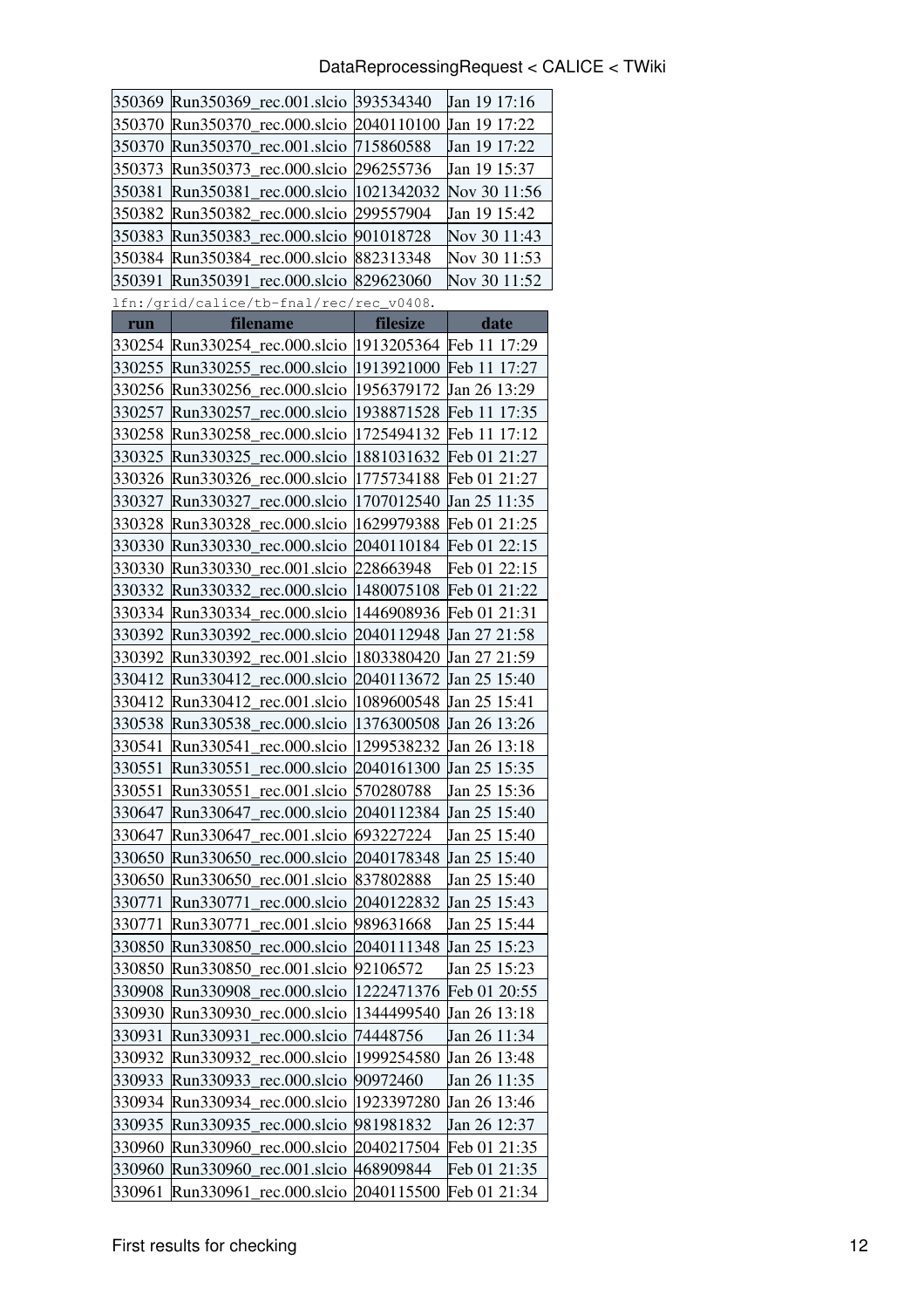#### DataReprocessingRequest < CALICE < TWiki

|        | 350369 Run350369_rec.001.slcio 393534340                |            | Jan 19 17:16 |
|--------|---------------------------------------------------------|------------|--------------|
| 350370 | Run350370_rec.000.slcio 2040110100                      |            | Jan 19 17:22 |
| 350370 | Run350370<br>rec.001.slcio  715860588                   |            | Jan 19 17:22 |
| 350373 | Run350373 rec.000.slcio 296255736                       |            | Jan 19 15:37 |
| 350381 | Run350381_rec.000.slcio  1021342032                     |            | Nov 30 11:56 |
| 350382 | rec.000.slcio 299557904<br>Run350382                    |            | Jan 19 15:42 |
| 350383 | Run350383_rec.000.slcio 901018728                       |            | Nov 30 11:43 |
| 350384 | Run350384_rec.000.slcio 882313348                       |            | Nov 30 11:53 |
| 350391 | Run350391_rec.000.slcio 829623060                       |            | Nov 30 11:52 |
|        | lfn:/grid/calice/tb-fnal/rec/rec_v0408.                 |            |              |
| run    | filename                                                | filesize   | date         |
|        | 330254 Run330254_rec.000.slcio  1913205364 Feb 11 17:29 |            |              |
| 330255 | Run330255_rec.000.slcio  1913921000 Feb 11 17:27        |            |              |
| 330256 | Run330256 rec.000.slcio   1956379172                    |            | Jan 26 13:29 |
| 330257 | Run330257_rec.000.slcio  1938871528 Feb 11 17:35        |            |              |
| 330258 | Run330258_rec.000.slcio  1725494132 Feb 11 17:12        |            |              |
| 330325 | Run330325_rec.000.slcio   1881031632 Feb 01 21:27       |            |              |
| 330326 | Run330326_rec.000.slcio   1775734188 Feb 01 21:27       |            |              |
| 330327 | rec.000.slcio  1707012540<br>Run330327                  |            | Jan 25 11:35 |
| 330328 | Run330328 rec.000.slcio 1629979388 Feb 01 21:25         |            |              |
| 330330 | Run330330_rec.000.slcio 2040110184 Feb 01 22:15         |            |              |
| 330330 | Run330330 rec.001.slcio 228663948                       |            | Feb 01 22:15 |
| 330332 | Run330332_rec.000.slcio  1480075108 Feb 01 21:22        |            |              |
| 330334 | Run330334_rec.000.slcio  1446908936                     |            | Feb 01 21:31 |
| 330392 | Run330392_rec.000.slcio 2040112948 Jan 27 21:58         |            |              |
| 330392 | Run330392_rec.001.slcio  1803380420 Jan 27 21:59        |            |              |
| 330412 | Run330412<br>rec.000.slcio 2040113672                   |            | Jan 25 15:40 |
| 330412 | Run330412_rec.001.slcio  1089600548                     |            | Jan 25 15:41 |
| 330538 | Run330538 rec.000.slcio   1376300508                    |            | Jan 26 13:26 |
| 330541 | Run330541<br>rec.000.slcio  1299538232                  |            | Jan 26 13:18 |
| 330551 | Run330551_rec.000.slcio 2040161300 Jan 25 15:35         |            |              |
| 330551 | rec.001.slcio 570280788<br>Run330551                    |            | Jan 25 15:36 |
| 330647 | Run330647<br>rec.000.slcio                              | 2040112384 | Jan 25 15:40 |
| 330647 | Run330647<br>rec.001.slcio                              | 693227224  | Jan 25 15:40 |
| 330650 | rec.000.slcio<br>Run330650                              | 2040178348 | Jan 25 15:40 |
| 330650 | rec.001.slcio<br>Run330650                              | 837802888  | Jan 25 15:40 |
| 330771 | rec.000.slcio<br>Run330771                              | 2040122832 | Jan 25 15:43 |
| 330771 | rec.001.slcio<br>Run330771                              | 989631668  | Jan 25 15:44 |
| 330850 | Run330850<br>rec.000.slcio                              | 2040111348 | Jan 25 15:23 |
| 330850 | Run330850<br>rec.001.slcio                              | 92106572   | Jan 25 15:23 |
| 330908 | rec.000.slcio<br>Run330908                              | 1222471376 | Feb 01 20:55 |
| 330930 | Run330930<br>rec.000.slcio                              | 1344499540 | Jan 26 13:18 |
| 330931 | Run330931<br>rec.000.slcio                              | 74448756   | Jan 26 11:34 |
| 330932 | Run330932<br>rec.000.slcio                              | 1999254580 | Jan 26 13:48 |
| 330933 | Run330933<br>rec.000.slcio                              | 90972460   | Jan 26 11:35 |
| 330934 | rec.000.slcio<br>Run330934                              | 1923397280 | Jan 26 13:46 |
| 330935 | Run330935<br>rec.000.slcio                              | 981981832  | Jan 26 12:37 |
| 330960 | rec.000.slcio<br>Run330960                              | 2040217504 | Feb 01 21:35 |
| 330960 | rec.001.slcio 468909844<br>Run330960                    |            | Feb 01 21:35 |
| 330961 | Run330961<br>rec.000.slcio                              | 2040115500 | Feb 01 21:34 |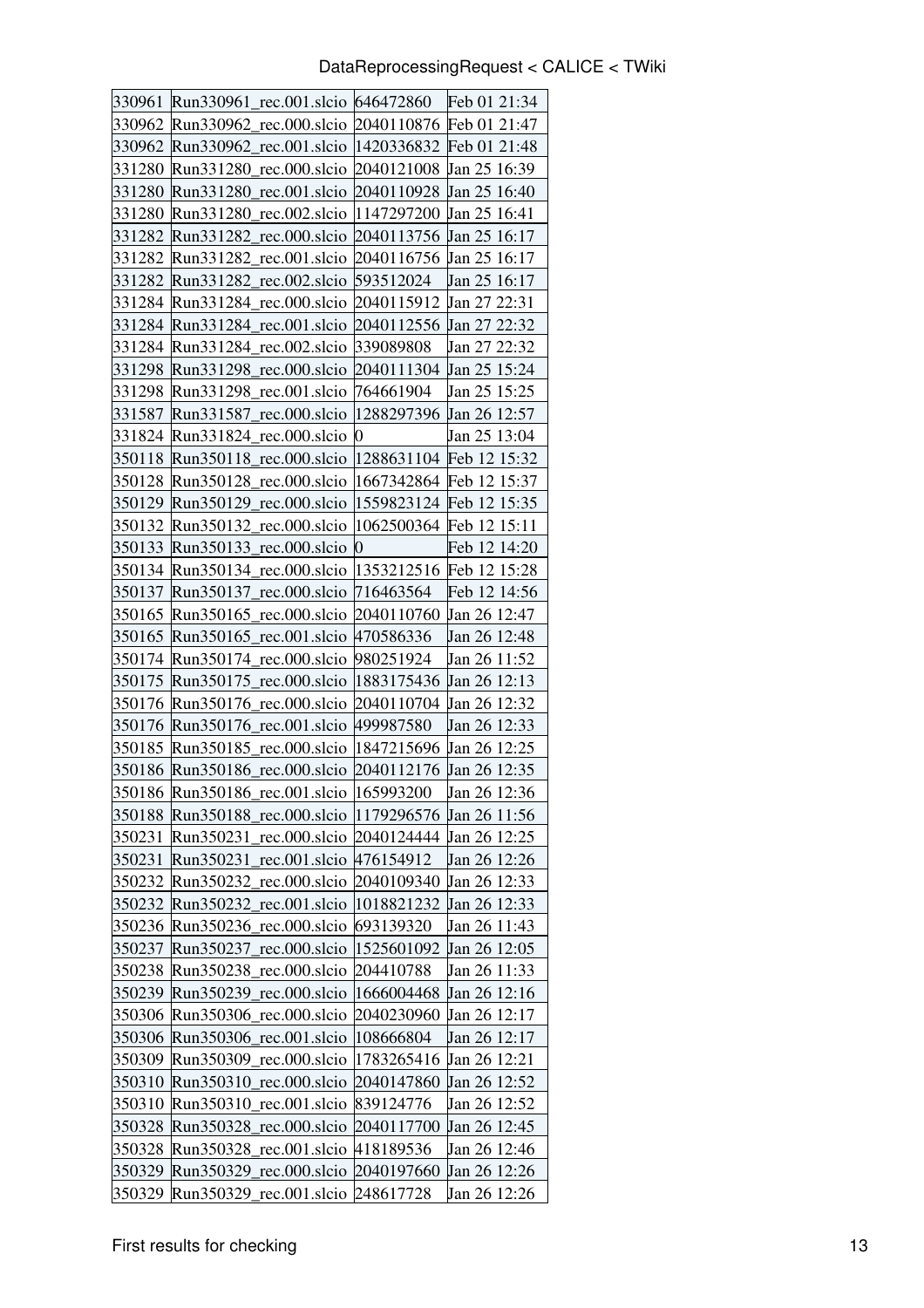| 330961           | Run330961<br>rec.001.slcio 646472860                  |                             | Feb 01 21:34                 |
|------------------|-------------------------------------------------------|-----------------------------|------------------------------|
| 330962           | Run330962<br>rec.000.slcio 2040110876                 |                             | Feb 01 21:47                 |
| 330962           | Run330962<br>rec.001.slcio  1420336832                |                             | Feb 01 21:48                 |
| 331280           | Run331280<br>rec.000.slcio                            | 2040121008                  | Jan 25 16:39                 |
| 331280           | rec.001.slcio<br>Run331280                            | 2040110928                  | Jan 25 16:40                 |
| 331280           | rec.002.slcio<br>Run331280                            | 1147297200                  | Jan 25 16:41                 |
| 331282           | Run331282 rec.000.slcio 2040113756                    |                             | Jan 25 16:17                 |
| 331282           | Run331282<br>rec.001.slcio                            | 2040116756                  | Jan 25 16:17                 |
| 331282           | Run331282 rec.002.slcio                               | 593512024                   | Jan 25 16:17                 |
| 331284           | Run331284<br>rec.000.slcio                            | 2040115912                  | Jan 27 22:31                 |
| 331284           | Run331284<br>rec.001.slcio                            | 2040112556                  | Jan 27 22:32                 |
| 331284           | Run331284_rec.002.slcio                               | 339089808                   | Jan 27 22:32                 |
| 331298           | rec.000.slcio<br>Run331298                            | 2040111304                  | Jan 25 15:24                 |
| 331298           | Run331298 rec.001.slcio                               | 764661904                   | Jan 25 15:25                 |
| 331587           | Run331587<br>rec.000.slcio                            | 1288297396                  | Jan 26 12:57                 |
| 331824           | Run331824 rec.000.slcio 0                             |                             | Jan 25 13:04                 |
| 350118           | Run350118 rec.000.slcio                               | 1288631104 Feb 12 15:32     |                              |
| 350128           | Run350128<br>rec.000.slcio                            | 1667342864                  | Feb 12 15:37                 |
| 350129           | Run350129<br>rec.000.slcio                            | 1559823124                  | Feb 12 15:35                 |
| 350132           | rec.000.slcio<br>Run350132                            | $ 1062500364 $ Feb 12 15:11 |                              |
| 350133           | Run350133<br>rec.000.slcio                            | 0                           | Feb 12 14:20                 |
| 350134           | Run350134_rec.000.slcio                               | 1353212516 Feb 12 15:28     |                              |
| 350137           | rec.000.slcio<br>Run350137                            | 716463564                   | Feb 12 14:56                 |
| 350165           | Run350165<br>rec.000.slcio                            | 2040110760                  | Jan 26 12:47                 |
| 350165           | Run350165 rec.001.slcio 470586336                     |                             | Jan 26 12:48                 |
| 350174           | Run350174 rec.000.slcio                               | 980251924                   | Jan 26 11:52                 |
| 350175           | Run350175 rec.000.slcio  1883175436 Jan 26 12:13      |                             |                              |
| 350176           | Run350176<br>rec.000.slcio                            | 2040110704                  | Jan 26 12:32                 |
| 350176           | Run350176 rec.001.slcio 499987580                     |                             | Jan 26 12:33                 |
| 350185           | Run350185_rec.000.slcio                               | 1847215696                  | Jan 26 12:25                 |
| 350186           | Run350186 rec.000.slcio                               | 2040112176                  | Jan 26 12:35                 |
|                  | 350186 Run350186 rec.001.slcio 165993200              |                             | Jan 26 12:36                 |
| 350188           | Run350188_rec.000.slcio  1179296576                   |                             | Jan 26 11:56                 |
| 350231           | rec.000.slcio 2040124444<br>Run350231                 |                             | Jan 26 12:25                 |
| 350231           | Run350231_rec.001.slcio 476154912                     |                             | Jan 26 12:26                 |
| 350232           | Run350232<br>rec.000.slcio                            | 2040109340                  | Jan 26 12:33                 |
| 350232           | Run350232<br>rec.001.slcio                            | 1018821232                  | Jan 26 12:33<br>Jan 26 11:43 |
| 350236<br>350237 | Run350236_rec.000.slcio<br>Run350237<br>rec.000.slcio | 693139320<br>1525601092     | Jan 26 12:05                 |
| 350238           | Run350238_rec.000.slcio                               | 204410788                   | Jan 26 11:33                 |
| 350239           | Run350239<br>rec.000.slcio                            | 1666004468                  | Jan 26 12:16                 |
| 350306           | Run350306_rec.000.slcio                               | 2040230960                  | Jan 26 12:17                 |
| 350306           | Run350306_rec.001.slcio                               | 108666804                   | Jan 26 12:17                 |
| 350309           | Run350309 rec.000.slcio                               | 1783265416                  | Jan 26 12:21                 |
| 350310           | rec.000.slcio<br>Run350310                            | 2040147860                  | Jan 26 12:52                 |
| 350310           | rec.001.slcio<br>Run350310                            | 839124776                   | Jan 26 12:52                 |
| 350328           | Run350328_rec.000.slcio                               | 2040117700                  | Jan 26 12:45                 |
| 350328           | Run350328_rec.001.slcio  418189536                    |                             | Jan 26 12:46                 |
| 350329           | Run350329<br>rec.000.slcio                            | 2040197660                  | Jan 26 12:26                 |
| 350329           | Run350329<br>rec.001.slcio 248617728                  |                             | Jan 26 12:26                 |